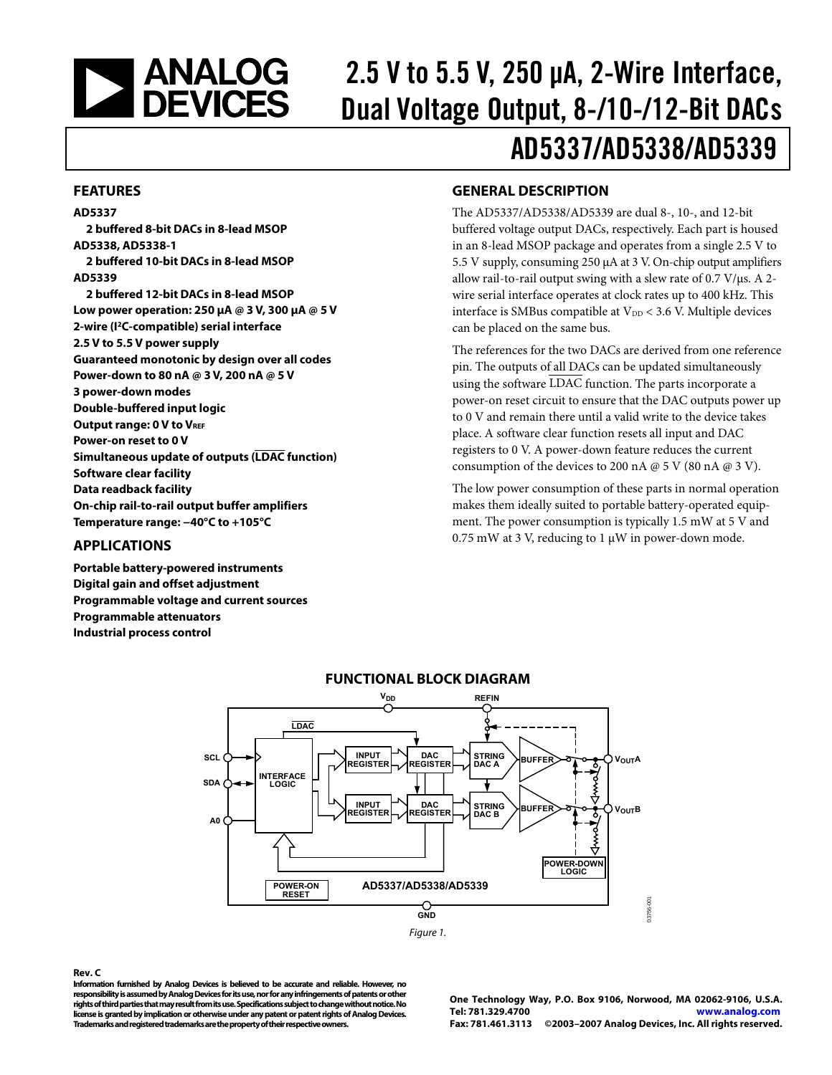<span id="page-0-0"></span>

# 2.5 V to 5.5 V, 250 μA, 2-Wire Interface, Dual Voltage Output, 8-/10-/12-Bit DACs AD5337/AD5338/AD5339

#### **FEATURES**

#### **AD5337**

**2 buffered 8-bit DACs in 8-lead MSOP AD5338, AD5338-1 2 buffered 10-bit DACs in 8-lead MSOP AD5339 2 buffered 12-bit DACs in 8-lead MSOP Low power operation: 250 μA @ 3 V, 300 μA @ 5 V 2-wire (I2C-compatible) serial interface 2.5 V to 5.5 V power supply Guaranteed monotonic by design over all codes Power-down to 80 nA @ 3 V, 200 nA @ 5 V 3 power-down modes Double-buffered input logic Output range: 0 V to VREF Power-on reset to 0 V Simultaneous update of outputs (LDAC function) Software clear facility Data readback facility On-chip rail-to-rail output buffer amplifiers Temperature range: −40°C to +105°C** 

#### **APPLICATIONS**

**Portable battery-powered instruments Digital gain and offset adjustment Programmable voltage and current sources Programmable attenuators Industrial process control** 

### **GENERAL DESCRIPTION**

The AD5337/AD5338/AD5339 are dual 8-, 10-, and 12-bit buffered voltage output DACs, respectively. Each part is housed in an 8-lead MSOP package and operates from a single 2.5 V to 5.5 V supply, consuming 250 μA at 3 V. On-chip output amplifiers allow rail-to-rail output swing with a slew rate of  $0.7$  V/ $\mu$ s. A 2wire serial interface operates at clock rates up to 400 kHz. This interface is SMBus compatible at  $V_{DD}$  < 3.6 V. Multiple devices can be placed on the same bus.

The references for the two DACs are derived from one reference pin. The outputs of all DACs can be updated simultaneously using the software  $\overline{\text{LDAC}}$  function. The parts incorporate a power-on reset circuit to ensure that the DAC outputs power up to 0 V and remain there until a valid write to the device takes place. A software clear function resets all input and DAC registers to 0 V. A power-down feature reduces the current consumption of the devices to 200 nA  $\omega$  5 V (80 nA  $\omega$  3 V).

The low power consumption of these parts in normal operation makes them ideally suited to portable battery-operated equipment. The power consumption is typically 1.5 mW at 5 V and 0.75 mW at 3 V, reducing to 1 μW in power-down mode.



#### **Rev. C**

**Information furnished by Analog Devices is believed to be accurate and reliable. However, no responsibility is assumed by Analog Devices for its use, nor for any infringements of patents or other rights of third parties that may result from its use. Specifications subject to change without notice. No license is granted by implication or otherwise under any patent or patent rights of Analog Devices. Trademarks and registered trademarks are the property of their respective owners.** 

**One Technology Way, P.O. Box 9106, Norwood, MA 02062-9106, U.S.A. Tel: 781.329.4700 www.analog.com Fax: 781.461.3113 ©2003–2007 Analog Devices, Inc. All rights reserved.**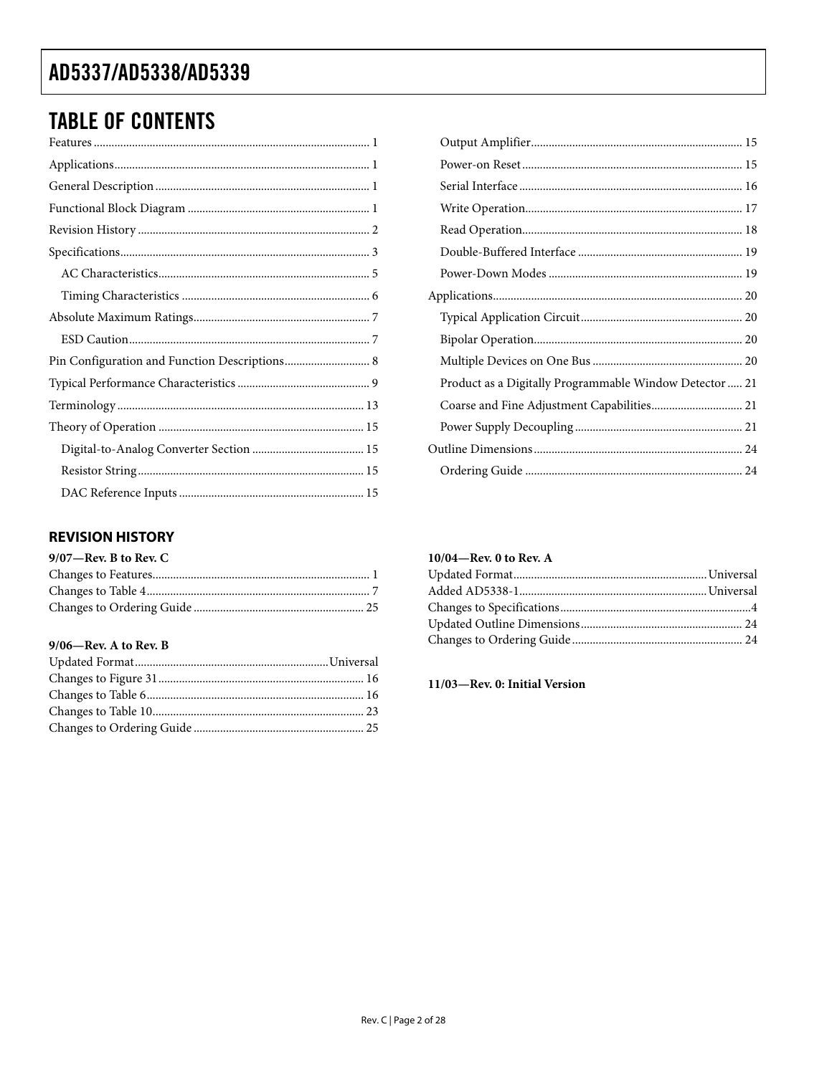# <span id="page-1-0"></span>**TABLE OF CONTENTS**

| Pin Configuration and Function Descriptions 8 |
|-----------------------------------------------|
|                                               |
|                                               |
|                                               |
|                                               |
|                                               |
|                                               |

### **REVISION HISTORY**

| $9/07$ —Rev. B to Rev. C |  |
|--------------------------|--|
|                          |  |
|                          |  |
|                          |  |

#### 9/06-Rev. A to Rev. B

| Product as a Digitally Programmable Window Detector  21 |  |
|---------------------------------------------------------|--|
|                                                         |  |
|                                                         |  |
|                                                         |  |
|                                                         |  |

### 10/04—Rev. 0 to Rev. A

11/03-Rev. 0: Initial Version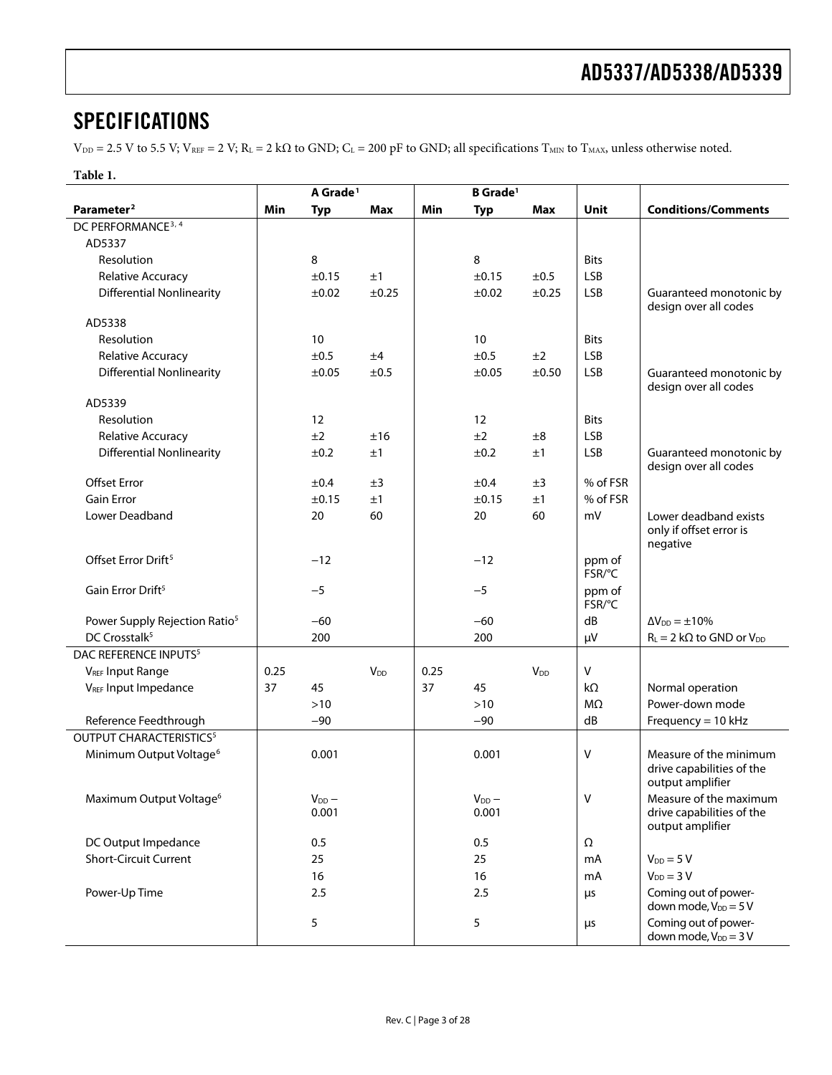## <span id="page-2-0"></span>**SPECIFICATIONS**

 $V_{DD} = 2.5$  V to 5.5 V;  $V_{REF} = 2$  V;  $R_L = 2$  k $\Omega$  to GND;  $C_L = 200$  pF to GND; all specifications  $T_{MIN}$  to  $T_{MAX}$ , unless otherwise noted.

| ٠<br>L<br>н |  |
|-------------|--|
|-------------|--|

|                                           | A Grade <sup>1</sup> |                       | <b>B</b> Grade <sup>1</sup> |      |                     |                       |                  |                                                                         |
|-------------------------------------------|----------------------|-----------------------|-----------------------------|------|---------------------|-----------------------|------------------|-------------------------------------------------------------------------|
| Parameter <sup>2</sup>                    | Min                  | <b>Typ</b>            | <b>Max</b>                  | Min  | <b>Typ</b>          | <b>Max</b>            | Unit             | <b>Conditions/Comments</b>                                              |
| DC PERFORMANCE <sup>3, 4</sup>            |                      |                       |                             |      |                     |                       |                  |                                                                         |
| AD5337                                    |                      |                       |                             |      |                     |                       |                  |                                                                         |
| Resolution                                |                      | 8                     |                             |      | 8                   |                       | <b>Bits</b>      |                                                                         |
| Relative Accuracy                         |                      | ±0.15                 | ±1                          |      | ±0.15               | ±0.5                  | <b>LSB</b>       |                                                                         |
| <b>Differential Nonlinearity</b>          |                      | ±0.02                 | ±0.25                       |      | ±0.02               | ±0.25                 | <b>LSB</b>       | Guaranteed monotonic by<br>design over all codes                        |
| AD5338                                    |                      |                       |                             |      |                     |                       |                  |                                                                         |
| Resolution                                |                      | 10                    |                             |      | 10                  |                       | <b>Bits</b>      |                                                                         |
| Relative Accuracy                         |                      | ±0.5                  | ±4                          |      | ±0.5                | ±2                    | <b>LSB</b>       |                                                                         |
| <b>Differential Nonlinearity</b>          |                      | ±0.05                 | ±0.5                        |      | ±0.05               | ±0.50                 | <b>LSB</b>       | Guaranteed monotonic by<br>design over all codes                        |
| AD5339                                    |                      |                       |                             |      |                     |                       |                  |                                                                         |
| Resolution                                |                      | 12                    |                             |      | 12                  |                       | <b>Bits</b>      |                                                                         |
| Relative Accuracy                         |                      | ±2                    | ±16                         |      | ±2                  | ±8                    | <b>LSB</b>       |                                                                         |
| <b>Differential Nonlinearity</b>          |                      | ±0.2                  | ±1                          |      | ±0.2                | ±1                    | <b>LSB</b>       | Guaranteed monotonic by<br>design over all codes                        |
| <b>Offset Error</b>                       |                      | ±0.4                  | ±3                          |      | ±0.4                | ±3                    | % of FSR         |                                                                         |
| <b>Gain Error</b>                         |                      | ±0.15                 | ±1                          |      | ±0.15               | ±1                    | % of FSR         |                                                                         |
| Lower Deadband                            |                      | 20                    | 60                          |      | 20                  | 60                    | mV               | Lower deadband exists<br>only if offset error is<br>negative            |
| Offset Error Drift <sup>5</sup>           |                      | $-12$                 |                             |      | $-12$               |                       | ppm of<br>FSR/°C |                                                                         |
| Gain Error Drift <sup>5</sup>             |                      | $-5$                  |                             |      | $-5$                |                       | ppm of<br>FSR/°C |                                                                         |
| Power Supply Rejection Ratio <sup>5</sup> |                      | $-60$                 |                             |      | $-60$               |                       | dB               | $\Delta V_{DD} = \pm 10\%$                                              |
| DC Crosstalk <sup>5</sup>                 |                      | 200                   |                             |      | 200                 |                       | μV               | $R_L = 2 k\Omega$ to GND or $V_{DD}$                                    |
| DAC REFERENCE INPUTS <sup>5</sup>         |                      |                       |                             |      |                     |                       |                  |                                                                         |
| <b>VREF Input Range</b>                   | 0.25                 |                       | V <sub>DD</sub>             | 0.25 |                     | <b>V<sub>DD</sub></b> | V                |                                                                         |
| V <sub>REF</sub> Input Impedance          | 37                   | 45                    |                             | 37   | 45                  |                       | $k\Omega$        | Normal operation                                                        |
|                                           |                      | $>10$                 |                             |      | $>10$               |                       | MΩ               | Power-down mode                                                         |
| Reference Feedthrough                     |                      | $-90$                 |                             |      | $-90$               |                       | dB               | Frequency = $10$ kHz                                                    |
| <b>OUTPUT CHARACTERISTICS<sup>5</sup></b> |                      |                       |                             |      |                     |                       |                  |                                                                         |
| Minimum Output Voltage <sup>6</sup>       |                      | 0.001                 |                             |      | 0.001               |                       | $\vee$           | Measure of the minimum<br>drive capabilities of the<br>output amplifier |
| Maximum Output Voltage <sup>6</sup>       |                      | $V_{DD}$ $-$<br>0.001 |                             |      | $V_{DD}$ -<br>0.001 |                       | V                | Measure of the maximum<br>drive capabilities of the<br>output amplifier |
| DC Output Impedance                       |                      | 0.5                   |                             |      | 0.5                 |                       | Ω                |                                                                         |
| <b>Short-Circuit Current</b>              |                      | 25                    |                             |      | 25                  |                       | mA               | $V_{DD} = 5 V$                                                          |
|                                           |                      | 16                    |                             |      | 16                  |                       | mA               | $V_{DD} = 3 V$                                                          |
| Power-Up Time                             |                      | 2.5                   |                             |      | 2.5                 |                       | μs               | Coming out of power-<br>down mode, $V_{DD} = 5 V$                       |
|                                           |                      | 5                     |                             |      | 5                   |                       | μs               | Coming out of power-<br>down mode, $V_{DD} = 3 V$                       |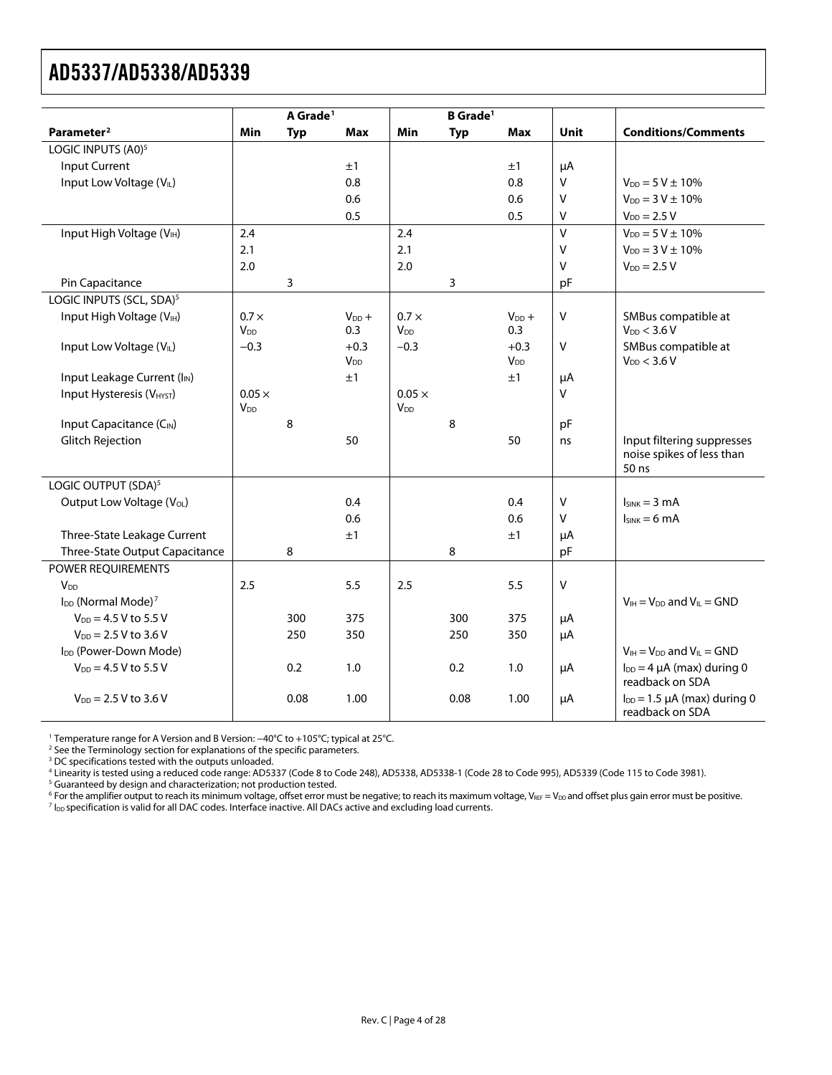<span id="page-3-0"></span>

|                                            |                        | A Grade <sup>1</sup> |                                  |                        | <b>B</b> Grade <sup>1</sup> |                                  |             |                                                        |
|--------------------------------------------|------------------------|----------------------|----------------------------------|------------------------|-----------------------------|----------------------------------|-------------|--------------------------------------------------------|
| Parameter <sup>2</sup>                     | Min                    | <b>Typ</b>           | <b>Max</b>                       | Min                    | <b>Typ</b>                  | <b>Max</b>                       | <b>Unit</b> | <b>Conditions/Comments</b>                             |
| LOGIC INPUTS (A0) <sup>5</sup>             |                        |                      |                                  |                        |                             |                                  |             |                                                        |
| <b>Input Current</b>                       |                        |                      | ±1                               |                        |                             | ±1                               | μA          |                                                        |
| Input Low Voltage (VIL)                    |                        |                      | 0.8                              |                        |                             | 0.8                              | $\vee$      | $V_{DD} = 5 V \pm 10\%$                                |
|                                            |                        |                      | 0.6                              |                        |                             | 0.6                              | v           | $V_{DD} = 3 V \pm 10\%$                                |
|                                            |                        |                      | 0.5                              |                        |                             | 0.5                              | V           | $V_{DD} = 2.5 V$                                       |
| Input High Voltage (VIH)                   | 2.4                    |                      |                                  | 2.4                    |                             |                                  | $\vee$      | $V_{DD} = 5 V \pm 10\%$                                |
|                                            | 2.1                    |                      |                                  | 2.1                    |                             |                                  | v           | $V_{DD} = 3 V \pm 10\%$                                |
|                                            | 2.0                    |                      |                                  | 2.0                    |                             |                                  | $\vee$      | $V_{DD} = 2.5 V$                                       |
| Pin Capacitance                            |                        | 3                    |                                  |                        | 3                           |                                  | pF          |                                                        |
| LOGIC INPUTS (SCL, SDA) <sup>5</sup>       |                        |                      |                                  |                        |                             |                                  |             |                                                        |
| Input High Voltage (VIH)                   | $0.7 \times$           |                      | $V_{DD} +$                       | $0.7 \times$           |                             | $V_{DD} +$                       | V           | SMBus compatible at                                    |
|                                            | <b>V</b> <sub>DD</sub> |                      | 0.3                              | <b>V</b> <sub>DD</sub> |                             | 0.3                              |             | $V_{DD}$ < 3.6 V                                       |
| Input Low Voltage (VIL)                    | $-0.3$                 |                      | $+0.3$<br><b>V</b> <sub>DD</sub> | $-0.3$                 |                             | $+0.3$<br><b>V</b> <sub>DD</sub> | V           | SMBus compatible at<br>$V_{DD}$ < 3.6 V                |
| Input Leakage Current (I <sub>IN</sub> )   |                        |                      | ±1                               |                        |                             | ±1                               | μA          |                                                        |
| Input Hysteresis (VHYST)                   | $0.05 \times$          |                      |                                  | $0.05 \times$          |                             |                                  | V           |                                                        |
|                                            | V <sub>DD</sub>        |                      |                                  | V <sub>DD</sub>        |                             |                                  |             |                                                        |
| Input Capacitance (C <sub>IN</sub> )       |                        | 8                    |                                  |                        | 8                           |                                  | pF          |                                                        |
| <b>Glitch Rejection</b>                    |                        |                      | 50                               |                        |                             | 50                               | ns          | Input filtering suppresses                             |
|                                            |                        |                      |                                  |                        |                             |                                  |             | noise spikes of less than                              |
|                                            |                        |                      |                                  |                        |                             |                                  |             | 50 ns                                                  |
| LOGIC OUTPUT (SDA) <sup>5</sup>            |                        |                      |                                  |                        |                             |                                  |             |                                                        |
| Output Low Voltage (V <sub>OL</sub> )      |                        |                      | 0.4                              |                        |                             | 0.4                              | V           | $I_{SINK} = 3 mA$                                      |
|                                            |                        |                      | 0.6                              |                        |                             | 0.6                              | V           | $I_{SINK} = 6 mA$                                      |
| Three-State Leakage Current                |                        |                      | ±1                               |                        |                             | ±1                               | μA          |                                                        |
| Three-State Output Capacitance             |                        | 8                    |                                  |                        | 8                           |                                  | pF          |                                                        |
| POWER REQUIREMENTS                         |                        |                      |                                  |                        |                             |                                  |             |                                                        |
| <b>V<sub>DD</sub></b>                      | 2.5                    |                      | 5.5                              | 2.5                    |                             | 5.5                              | $\sf V$     |                                                        |
| I <sub>DD</sub> (Normal Mode) <sup>7</sup> |                        |                      |                                  |                        |                             |                                  |             | $V_{IH} = V_{DD}$ and $V_{IL} = GND$                   |
| $V_{DD} = 4.5 V$ to 5.5 V                  |                        | 300<br>250           | 375<br>350                       |                        | 300<br>250                  | 375                              | μA          |                                                        |
| $V_{DD} = 2.5 V$ to 3.6 V                  |                        |                      |                                  |                        |                             | 350                              | μA          |                                                        |
| I <sub>DD</sub> (Power-Down Mode)          |                        |                      |                                  |                        |                             |                                  |             | $V_{IH} = V_{DD}$ and $V_{IL} = GND$                   |
| $V_{DD} = 4.5 V$ to 5.5 V                  |                        | 0.2                  | 1.0                              |                        | 0.2                         | 1.0                              | μA          | $I_{DD} = 4 \mu A$ (max) during 0<br>readback on SDA   |
| $V_{DD} = 2.5 V$ to 3.6 V                  |                        | 0.08                 | 1.00                             |                        | 0.08                        | 1.00                             | μA          | $I_{DD} = 1.5 \mu A$ (max) during 0<br>readback on SDA |
|                                            |                        |                      |                                  |                        |                             |                                  |             |                                                        |

1 Temperature range for A Version and B Version: −40°C to +105°C; typical at 25°C. 2

<sup>2</sup> See the [Terminology](#page-12-1) section for explanations of the specific parameters.<br><sup>3</sup> DC specifications tested with the outputs unloaded.

<sup>4</sup> Linearity is tested using a reduced code range: AD5337 (Code 8 to Code 248), AD5338, AD5338-1 (Code 28 to Code 995), AD5339 (Code 115 to Code 3981).<br><sup>5</sup> Guaranteed by design and characterization: not production tested

<sup>5</sup> Guaranteed by design and characterization; not production tested.

 $^6$  For the amplifier output to reach its minimum voltage, offset error must be negative; to reach its maximum voltage, V $_{\tt{REF}}$  = V $_{\tt{DD}}$ and offset plus gain error must be positive.<br>7 les specification is valid for a IDD specification is valid for all DAC codes. Interface inactive. All DACs active and excluding load currents.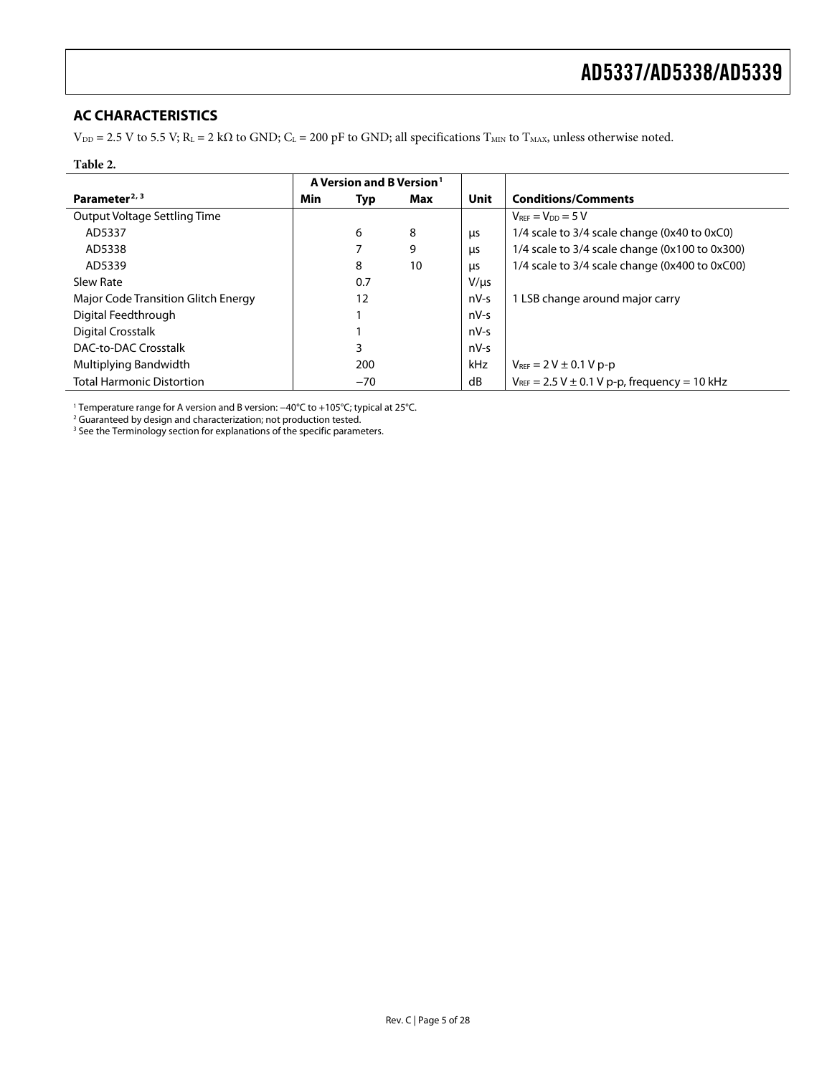### <span id="page-4-0"></span>**AC CHARACTERISTICS**

 $V_{DD} = 2.5$  V to 5.5 V; R<sub>L</sub> = 2 k $\Omega$  to GND; C<sub>L</sub> = 200 pF to GND; all specifications T<sub>MIN</sub> to T<sub>MAX</sub>, unless otherwise noted.

#### **Table 2.**

|                                     | A Version and B Version <sup>1</sup> |       |     |            |                                                      |
|-------------------------------------|--------------------------------------|-------|-----|------------|------------------------------------------------------|
| Parameter <sup>2, 3</sup>           | Min                                  | Typ   | Max | Unit       | <b>Conditions/Comments</b>                           |
| Output Voltage Settling Time        |                                      |       |     |            | $V_{REF} = V_{DD} = 5 V$                             |
| AD5337                              |                                      | 6     | 8   | μs         | 1/4 scale to 3/4 scale change (0x40 to 0xC0)         |
| AD5338                              |                                      |       | 9   | μs         | 1/4 scale to 3/4 scale change (0x100 to 0x300)       |
| AD5339                              |                                      | 8     | 10  | <b>LIS</b> | 1/4 scale to 3/4 scale change (0x400 to 0xC00)       |
| Slew Rate                           |                                      | 0.7   |     | $V/\mu s$  |                                                      |
| Major Code Transition Glitch Energy |                                      | 12    |     | $nV-S$     | 1 LSB change around major carry                      |
| Digital Feedthrough                 |                                      |       |     | $nV-S$     |                                                      |
| Digital Crosstalk                   |                                      |       |     | $nV-S$     |                                                      |
| DAC-to-DAC Crosstalk                |                                      | 3     |     | $nV-S$     |                                                      |
| Multiplying Bandwidth               |                                      | 200   |     | <b>kHz</b> | $V_{REF} = 2 V \pm 0.1 V p-p$                        |
| <b>Total Harmonic Distortion</b>    |                                      | $-70$ |     | dB         | $V_{REF} = 2.5 V \pm 0.1 V p-p$ , frequency = 10 kHz |

1 Temperature range for A version and B version: −40°C to +105°C; typical at 25°C. 2 Guaranteed by design and characterization; not production tested.

<sup>3</sup> See th[e Terminology](#page-12-1) section for explanations of the specific parameters.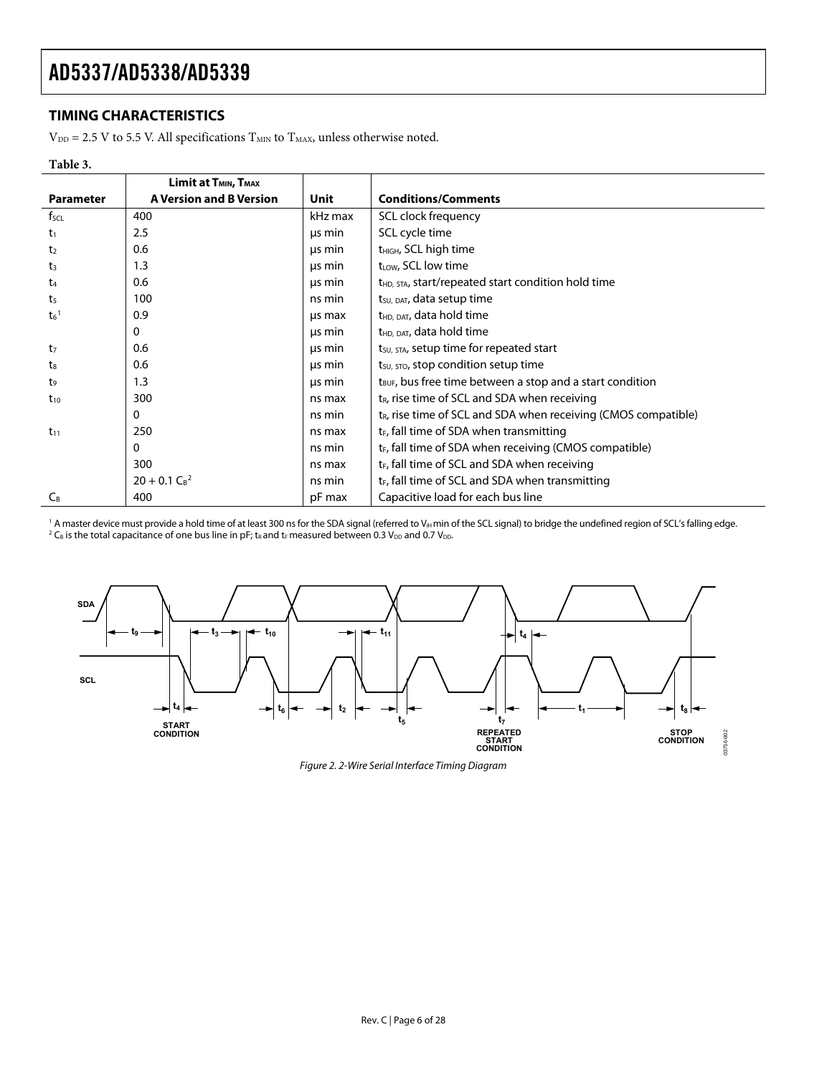### <span id="page-5-0"></span>**TIMING CHARACTERISTICS**

 $V_{DD} = 2.5$  V to 5.5 V. All specifications  $T_{MIN}$  to  $T_{MAX}$ , unless otherwise noted.

#### **Table 3.**

|                    | Limit at T <sub>MIN</sub> , T <sub>MAX</sub> |         |                                                                            |
|--------------------|----------------------------------------------|---------|----------------------------------------------------------------------------|
| <b>Parameter</b>   | <b>A Version and B Version</b>               | Unit    | <b>Conditions/Comments</b>                                                 |
| $f_{\text{SCL}}$   | 400                                          | kHz max | SCL clock frequency                                                        |
| $t_1$              | 2.5                                          | μs min  | SCL cycle time                                                             |
| t <sub>2</sub>     | 0.6                                          | us min  | t <sub>HIGH</sub> , SCL high time                                          |
| $t_3$              | 1.3                                          | us min  | $t_{LOW}$ , SCL low time                                                   |
| t <sub>4</sub>     | 0.6                                          | us min  | t <sub>HD</sub> , STA, start/repeated start condition hold time            |
| t5                 | 100                                          | ns min  | t <sub>su, DAT</sub> , data setup time                                     |
| $t_6$ <sup>1</sup> | 0.9                                          | us max  | t <sub>HD, DAT</sub> , data hold time                                      |
|                    | $\Omega$                                     | us min  | t <sub>HD, DAT</sub> , data hold time                                      |
| t <sub>7</sub>     | 0.6                                          | us min  | t <sub>su, STA</sub> , setup time for repeated start                       |
| t.                 | 0.6                                          | us min  | t <sub>su, stop</sub> condition setup time                                 |
| t9                 | 1.3                                          | us min  | t <sub>BUF</sub> , bus free time between a stop and a start condition      |
| $t_{10}$           | 300                                          | ns max  | $t_R$ , rise time of SCL and SDA when receiving                            |
|                    | $\Omega$                                     | ns min  | t <sub>R</sub> , rise time of SCL and SDA when receiving (CMOS compatible) |
| $t_{11}$           | 250                                          | ns max  | $t_F$ , fall time of SDA when transmitting                                 |
|                    | $\Omega$                                     | ns min  | t <sub>F</sub> , fall time of SDA when receiving (CMOS compatible)         |
|                    | 300                                          | ns max  | $t_F$ , fall time of SCL and SDA when receiving                            |
|                    | $20 + 0.1 C_B^2$                             | ns min  | $t_F$ , fall time of SCL and SDA when transmitting                         |
| $C_B$              | 400                                          | pF max  | Capacitive load for each bus line                                          |

<sup>1</sup> A master device must provide a hold time of at least 300 ns for the SDA signal (referred to V<sub>H</sub> min of the SCL signal) to bridge the undefined region of SCL's falling edge.<br><sup>2</sup> C<sub>8</sub> is the total capacitance of one bu

<span id="page-5-1"></span>

Figure 2. 2-Wire Serial Interface Timing Diagram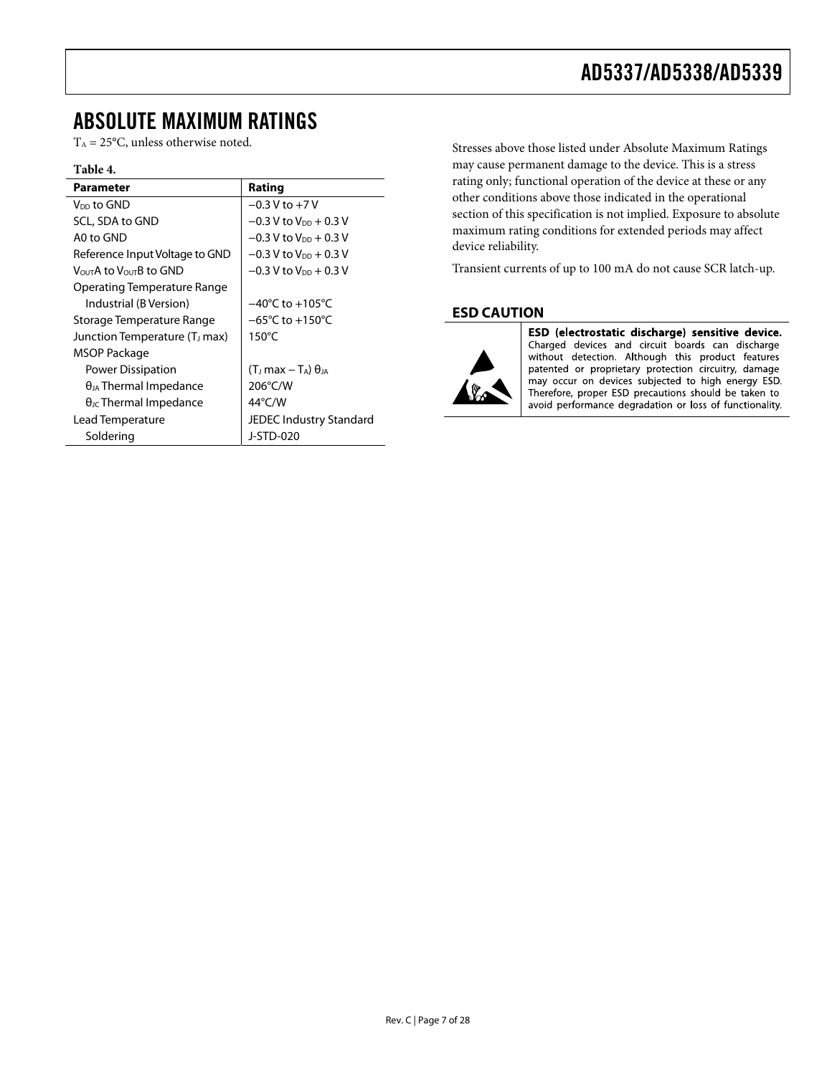### <span id="page-6-0"></span>ABSOLUTE MAXIMUM RATINGS

 $T_A = 25$ °C, unless otherwise noted.

#### **Table 4.**

| <b>Parameter</b>                                | Rating                                |
|-------------------------------------------------|---------------------------------------|
| V <sub>DD</sub> to GND                          | $-0.3 V$ to $+7V$                     |
| SCL, SDA to GND                                 | $-0.3$ V to V <sub>DD</sub> + 0.3 V   |
| A0 to GND                                       | $-0.3$ V to V <sub>DD</sub> + 0.3 V   |
| Reference Input Voltage to GND                  | $-0.3$ V to V <sub>DD</sub> + 0.3 V   |
| V <sub>OUT</sub> A to V <sub>OUT</sub> B to GND | $-0.3$ V to V <sub>pp</sub> $+0.3$ V  |
| Operating Temperature Range                     |                                       |
| Industrial (B Version)                          | $-40^{\circ}$ C to $+105^{\circ}$ C   |
| Storage Temperature Range                       | $-65^{\circ}$ C to $+150^{\circ}$ C   |
| Junction Temperature (T <sub>J</sub> max)       | $150^{\circ}$ C                       |
| MSOP Package                                    |                                       |
| Power Dissipation                               | $(T_J \text{ max} - T_A) \theta_{JA}$ |
| $\theta_{JA}$ Thermal Impedance                 | 206°C/W                               |
| $\theta_{\text{JC}}$ Thermal Impedance          | $44^{\circ}$ C/W                      |
| Lead Temperature                                | JEDEC Industry Standard               |
| Soldering                                       | J-STD-020                             |

Stresses above those listed under Absolute Maximum Ratings may cause permanent damage to the device. This is a stress rating only; functional operation of the device at these or any other conditions above those indicated in the operational section of this specification is not implied. Exposure to absolute maximum rating conditions for extended periods may affect device reliability.

Transient currents of up to 100 mA do not cause SCR latch-up.

### **ESD CAUTION**



ESD (electrostatic discharge) sensitive device. Charged devices and circuit boards can discharge without detection. Although this product features patented or proprietary protection circuitry, damage may occur on devices subjected to high energy ESD. Therefore, proper ESD precautions should be taken to avoid performance degradation or loss of functionality.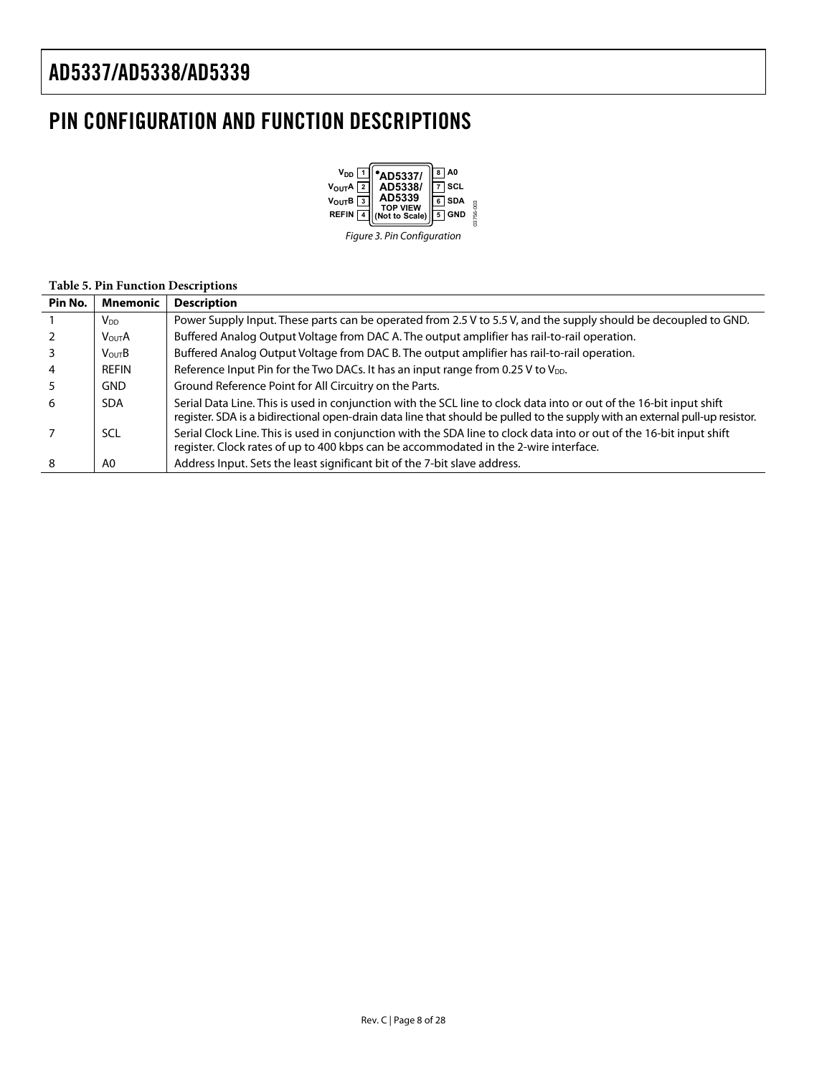# <span id="page-7-0"></span>PIN CONFIGURATION AND FUNCTION DESCRIPTIONS



Figure 3. Pin Configuration

#### **Table 5. Pin Function Descriptions**

| Pin No. | <b>Mnemonic</b>   | <b>Description</b>                                                                                                                                                                                                                                  |
|---------|-------------------|-----------------------------------------------------------------------------------------------------------------------------------------------------------------------------------------------------------------------------------------------------|
|         | V <sub>DD</sub>   | Power Supply Input. These parts can be operated from 2.5 V to 5.5 V, and the supply should be decoupled to GND.                                                                                                                                     |
|         | <b>VOUTA</b>      | Buffered Analog Output Voltage from DAC A. The output amplifier has rail-to-rail operation.                                                                                                                                                         |
|         | $V_{\text{OUT}}B$ | Buffered Analog Output Voltage from DAC B. The output amplifier has rail-to-rail operation.                                                                                                                                                         |
|         | REFIN             | Reference Input Pin for the Two DACs. It has an input range from 0.25 V to V <sub>DD</sub> .                                                                                                                                                        |
|         | <b>GND</b>        | Ground Reference Point for All Circuitry on the Parts.                                                                                                                                                                                              |
| 6       | <b>SDA</b>        | Serial Data Line. This is used in conjunction with the SCL line to clock data into or out of the 16-bit input shift<br>register. SDA is a bidirectional open-drain data line that should be pulled to the supply with an external pull-up resistor. |
|         | SCL               | Serial Clock Line. This is used in conjunction with the SDA line to clock data into or out of the 16-bit input shift<br>register. Clock rates of up to 400 kbps can be accommodated in the 2-wire interface.                                        |
| 8       | A0                | Address Input. Sets the least significant bit of the 7-bit slave address.                                                                                                                                                                           |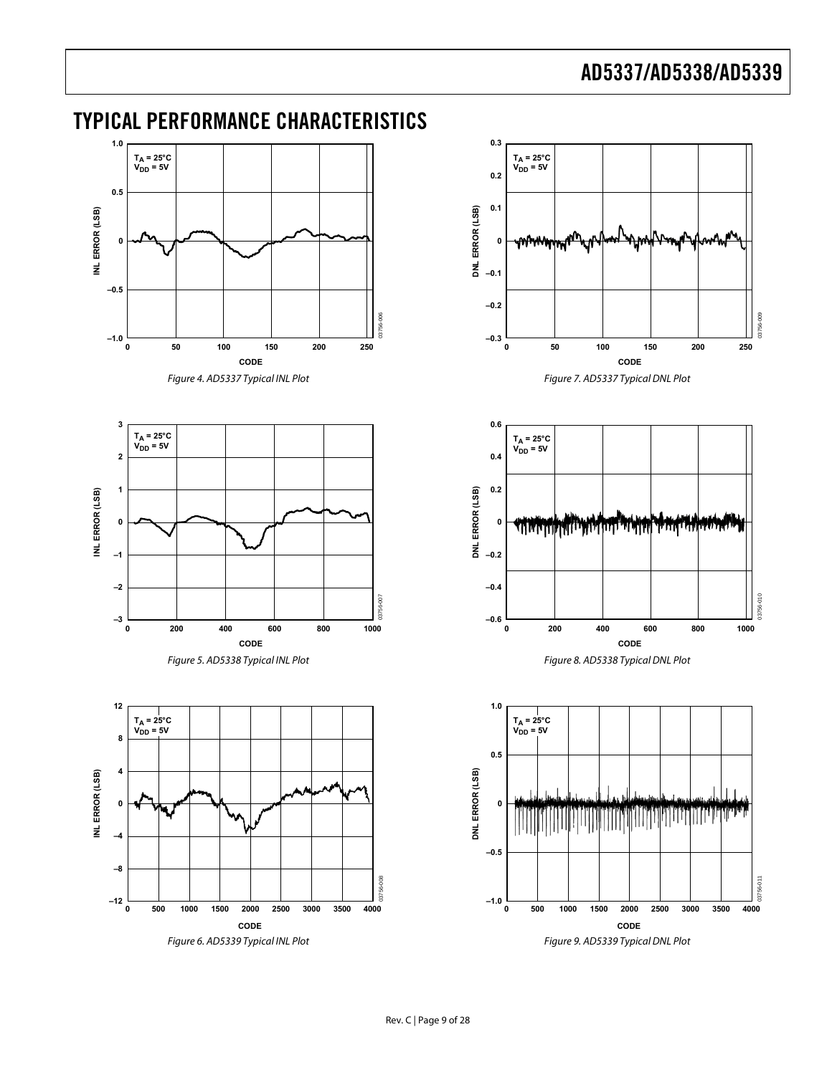## <span id="page-8-0"></span>TYPICAL PERFORMANCE CHARACTERISTICS



Figure 4. AD5337 Typical INL Plot

<span id="page-8-1"></span>



<span id="page-8-3"></span><span id="page-8-2"></span>







Figure 9. AD5339 Typical DNL Plot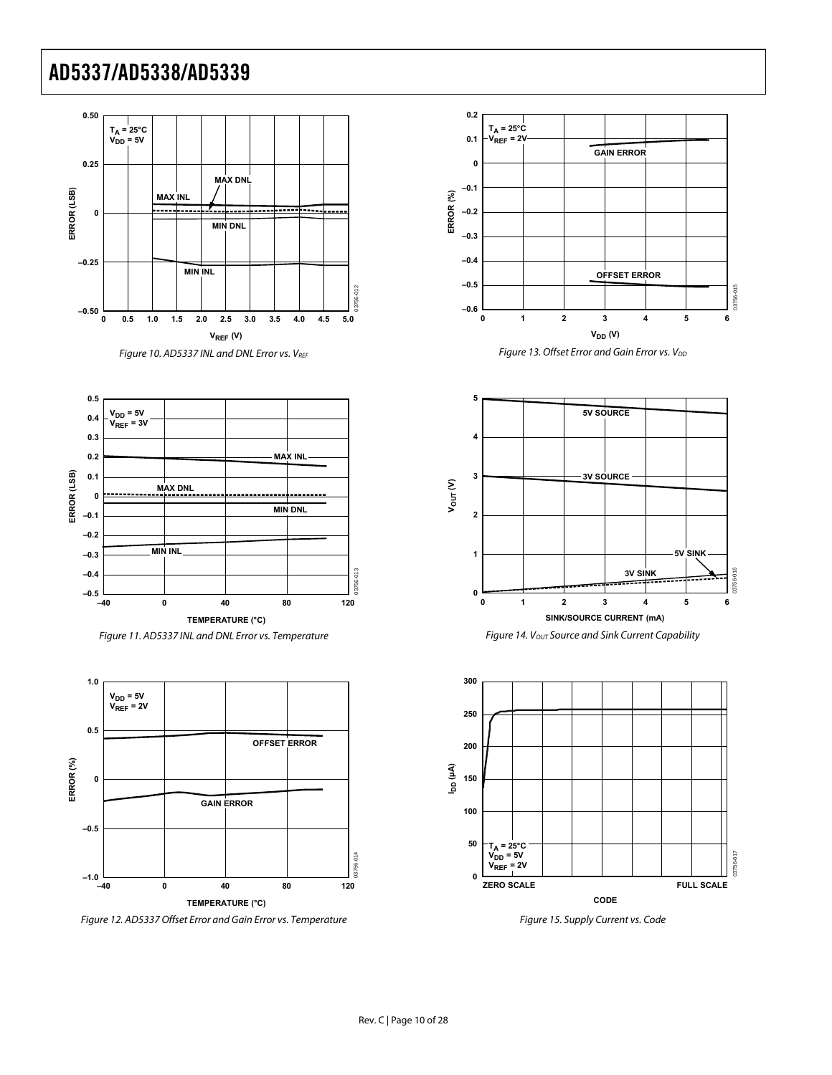





<span id="page-9-0"></span>

Figure 12. AD5337 Offset Error and Gain Error vs. Temperature





Figure 14. Vout Source and Sink Current Capability



Figure 15. Supply Current vs. Code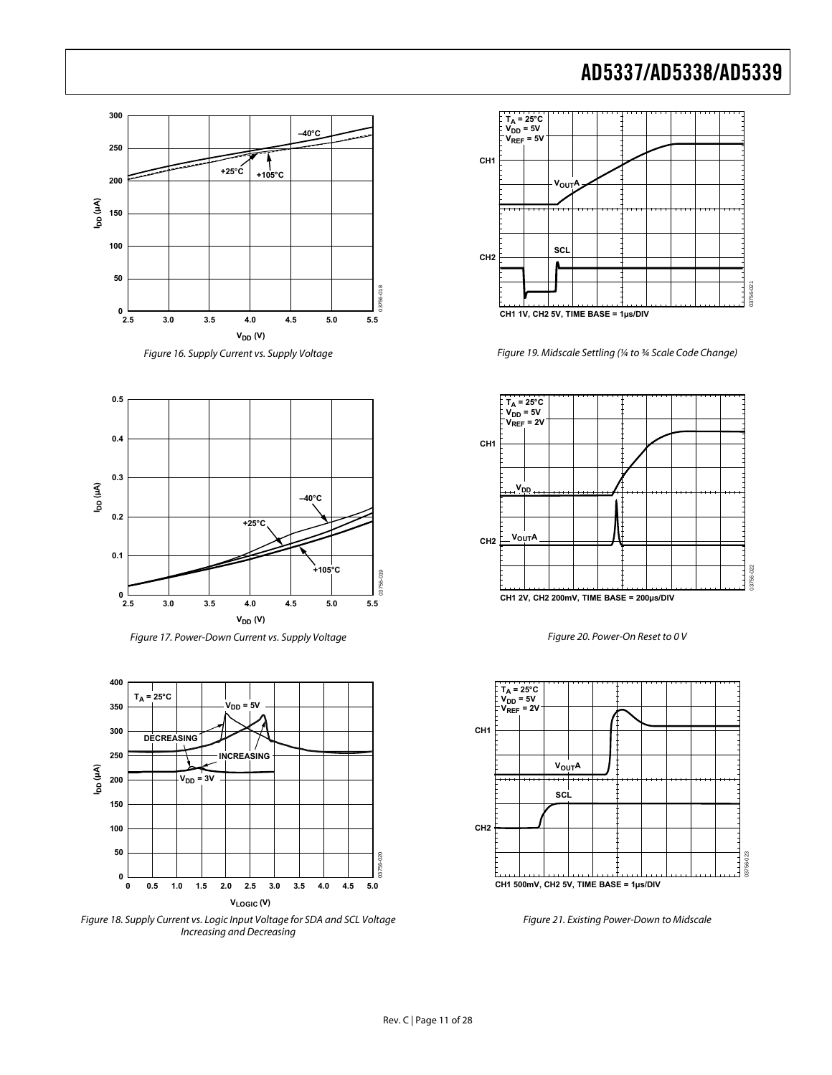







<span id="page-10-0"></span>Figure 18. Supply Current vs. Logic Input Voltage for SDA and SCL Voltage Increasing and Decreasing



Figure 19. Midscale Settling (¼ to ¾ Scale Code Change)







Figure 21. Existing Power-Down to Midscale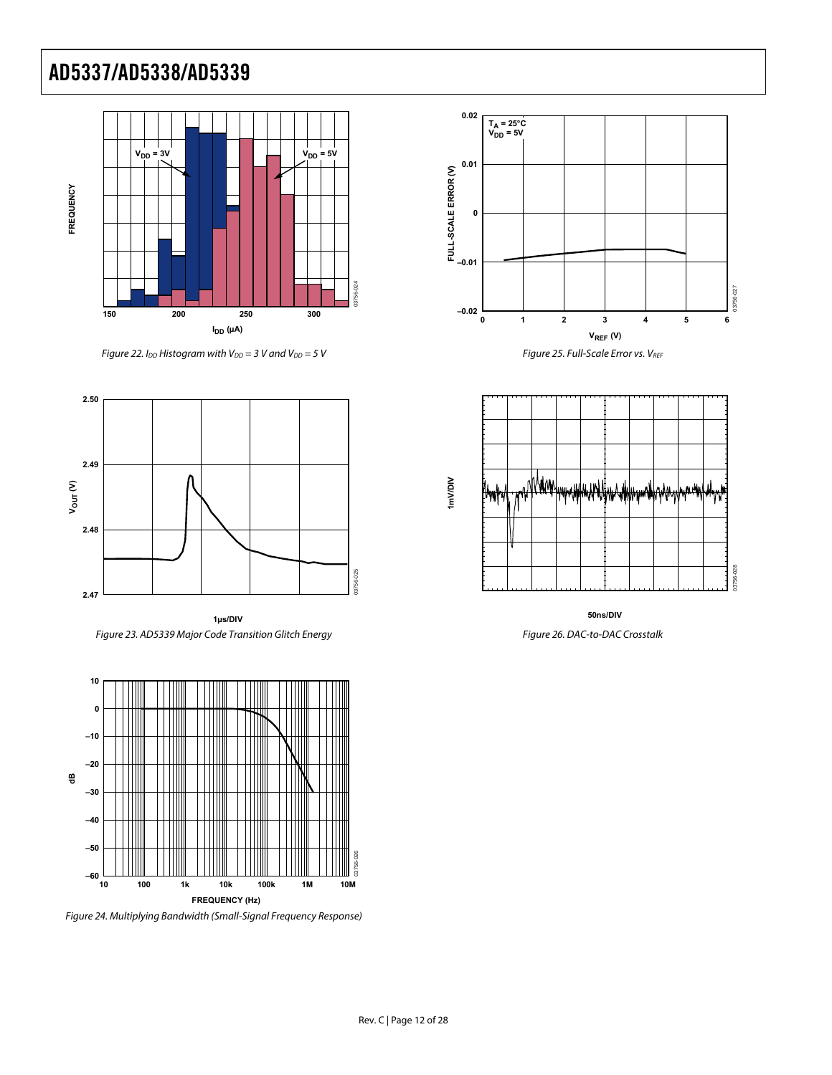

Figure 22. I<sub>DD</sub> Histogram with  $V_{DD} = 3$  V and  $V_{DD} = 5$  V



**1µs/DIV** Figure 23. AD5339 Major Code Transition Glitch Energy



Figure 24. Multiplying Bandwidth (Small-Signal Frequency Response)







**50ns/DIV**

Figure 26. DAC-to-DAC Crosstalk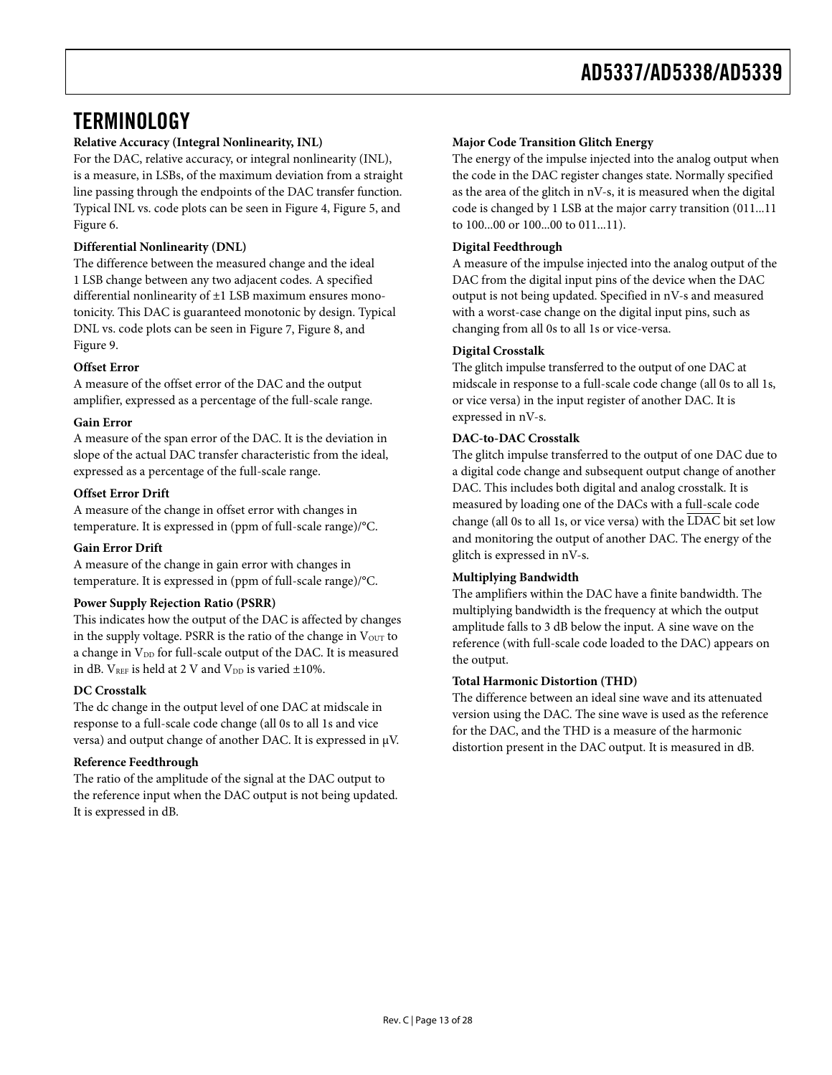## <span id="page-12-1"></span><span id="page-12-0"></span>**TERMINOLOGY**

### **Relative Accuracy (Integral Nonlinearity, INL)**

For the DAC, relative accuracy, or integral nonlinearity (INL), is a measure, in LSBs, of the maximum deviation from a straight line passing through the endpoints of the DAC transfer function. Typical INL vs. code plots can be seen in [Figure 4,](#page-8-1) [Figure 5](#page-8-2), and [Figure 6](#page-8-3).

### **Differential Nonlinearity (DNL)**

The difference between the measured change and the ideal 1 LSB change between any two adjacent codes. A specified differential nonlinearity of ±1 LSB maximum ensures monotonicity. This DAC is guaranteed monotonic by design. Typical DNL vs. code plots can be seen in [Figure 7,](#page-8-1) [Figure 8](#page-8-2), and [Figure 9](#page-8-3).

### **Offset Error**

A measure of the offset error of the DAC and the output amplifier, expressed as a percentage of the full-scale range.

#### **Gain Error**

A measure of the span error of the DAC. It is the deviation in slope of the actual DAC transfer characteristic from the ideal, expressed as a percentage of the full-scale range.

### **Offset Error Drift**

A measure of the change in offset error with changes in temperature. It is expressed in (ppm of full-scale range)/°C.

#### **Gain Error Drift**

A measure of the change in gain error with changes in temperature. It is expressed in (ppm of full-scale range)/°C.

#### **Power Supply Rejection Ratio (PSRR)**

This indicates how the output of the DAC is affected by changes in the supply voltage. PSRR is the ratio of the change in  $V<sub>OUT</sub>$  to a change in V<sub>DD</sub> for full-scale output of the DAC. It is measured in dB.  $V_{REF}$  is held at 2 V and  $V_{DD}$  is varied  $\pm 10\%$ .

#### **DC Crosstalk**

The dc change in the output level of one DAC at midscale in response to a full-scale code change (all 0s to all 1s and vice versa) and output change of another DAC. It is expressed in μV.

#### **Reference Feedthrough**

The ratio of the amplitude of the signal at the DAC output to the reference input when the DAC output is not being updated. It is expressed in dB.

#### **Major Code Transition Glitch Energy**

The energy of the impulse injected into the analog output when the code in the DAC register changes state. Normally specified as the area of the glitch in nV-s, it is measured when the digital code is changed by 1 LSB at the major carry transition (011...11 to 100...00 or 100...00 to 011...11).

### **Digital Feedthrough**

A measure of the impulse injected into the analog output of the DAC from the digital input pins of the device when the DAC output is not being updated. Specified in nV-s and measured with a worst-case change on the digital input pins, such as changing from all 0s to all 1s or vice-versa.

### **Digital Crosstalk**

The glitch impulse transferred to the output of one DAC at midscale in response to a full-scale code change (all 0s to all 1s, or vice versa) in the input register of another DAC. It is expressed in nV-s.

### **DAC-to-DAC Crosstalk**

The glitch impulse transferred to the output of one DAC due to a digital code change and subsequent output change of another DAC. This includes both digital and analog crosstalk. It is measured by loading one of the DACs with a full-scale code change (all 0s to all 1s, or vice versa) with the LDAC bit set low and monitoring the output of another DAC. The energy of the glitch is expressed in nV-s.

#### **Multiplying Bandwidth**

The amplifiers within the DAC have a finite bandwidth. The multiplying bandwidth is the frequency at which the output amplitude falls to 3 dB below the input. A sine wave on the reference (with full-scale code loaded to the DAC) appears on the output.

#### **Total Harmonic Distortion (THD)**

The difference between an ideal sine wave and its attenuated version using the DAC. The sine wave is used as the reference for the DAC, and the THD is a measure of the harmonic distortion present in the DAC output. It is measured in dB.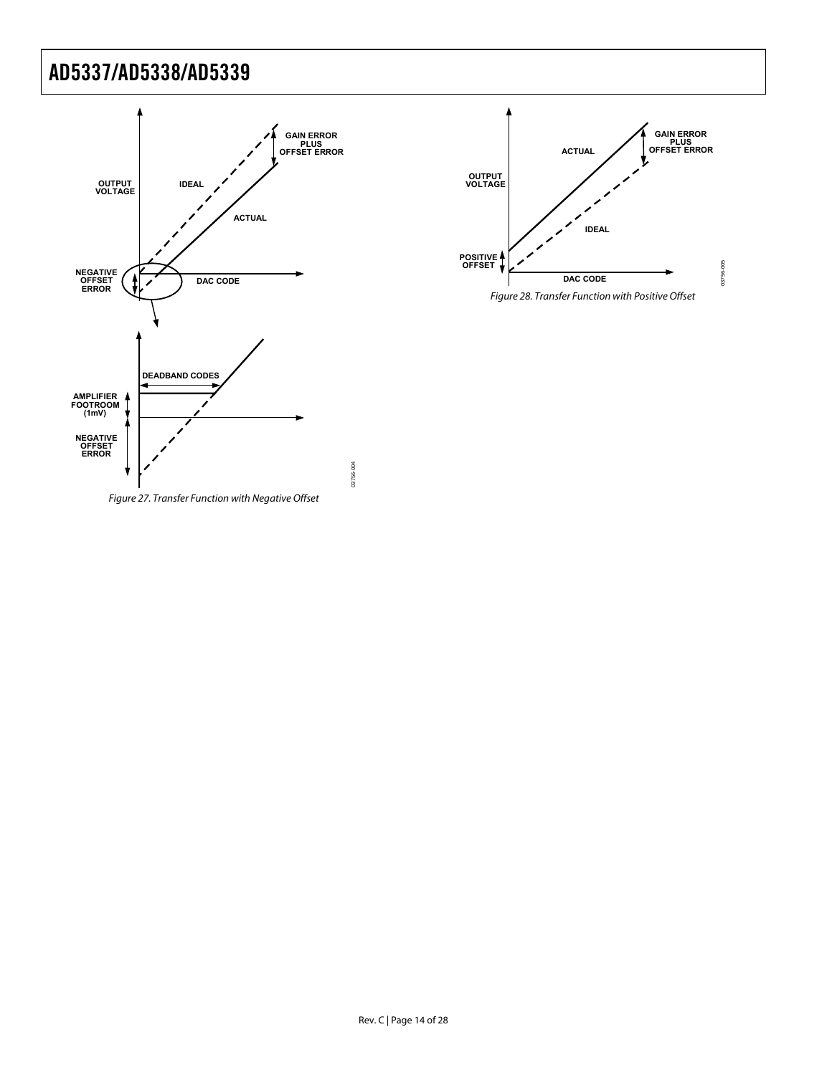



Rev. C | Page 14 of 28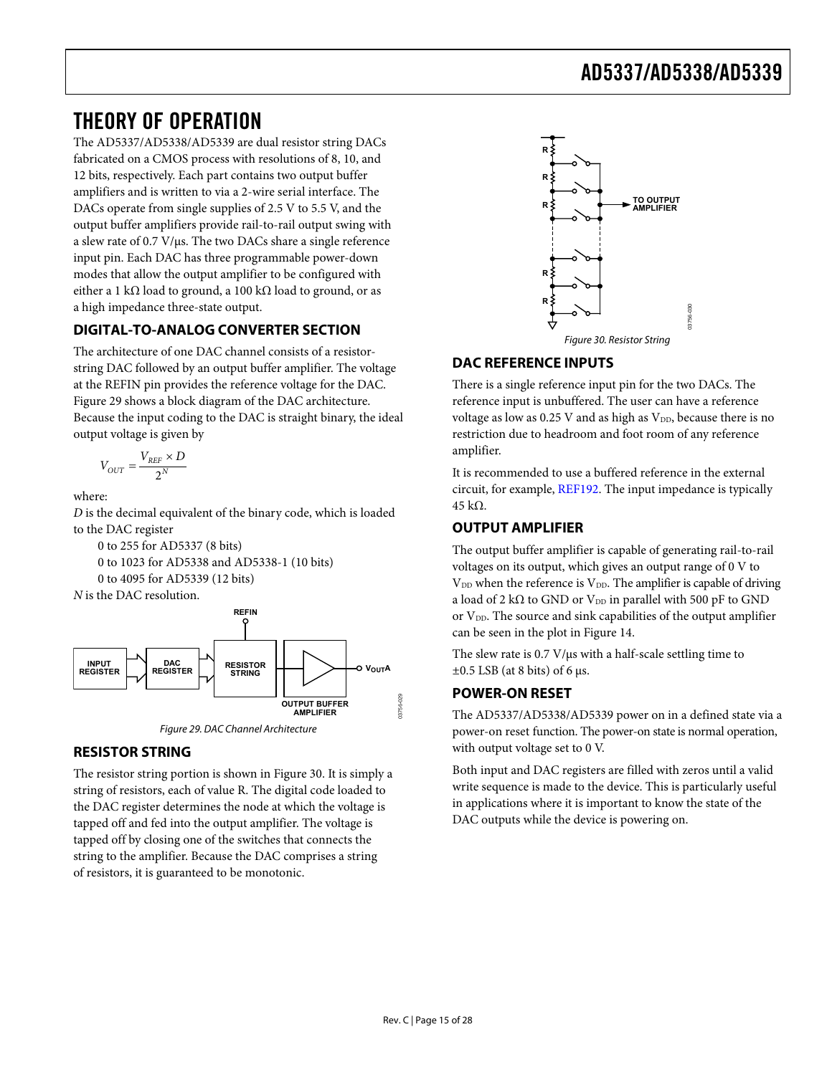## <span id="page-14-0"></span>THEORY OF OPERATION

The AD5337/AD5338/AD5339 are dual resistor string DACs fabricated on a CMOS process with resolutions of 8, 10, and 12 bits, respectively. Each part contains two output buffer amplifiers and is written to via a 2-wire serial interface. The DACs operate from single supplies of 2.5 V to 5.5 V, and the output buffer amplifiers provide rail-to-rail output swing with a slew rate of 0.7 V/μs. The two DACs share a single reference input pin. Each DAC has three programmable power-down modes that allow the output amplifier to be configured with either a 1 kΩ load to ground, a 100 kΩ load to ground, or as a high impedance three-state output.

### **DIGITAL-TO-ANALOG CONVERTER SECTION**

<span id="page-14-2"></span>The architecture of one DAC channel consists of a resistorstring DAC followed by an output buffer amplifier. The voltage at the REFIN pin provides the reference voltage for the DAC. [Figure 29](#page-14-1) shows a block diagram of the DAC architecture. Because the input coding to the DAC is straight binary, the ideal output voltage is given by

$$
V_{OUT} = \frac{V_{REF} \times D}{2^N}
$$

where:

*D* is the decimal equivalent of the binary code, which is loaded to the DAC register

0 to 255 for AD5337 (8 bits) 0 to 1023 for AD5338 and AD5338-1 (10 bits) 0 to 4095 for AD5339 (12 bits)



Figure 29. DAC Channel Architecture

### <span id="page-14-1"></span>**RESISTOR STRING**

The resistor string portion is shown in [Figure 30](#page-14-2). It is simply a string of resistors, each of value R. The digital code loaded to the DAC register determines the node at which the voltage is tapped off and fed into the output amplifier. The voltage is tapped off by closing one of the switches that connects the string to the amplifier. Because the DAC comprises a string of resistors, it is guaranteed to be monotonic.



### **DAC REFERENCE INPUTS**

There is a single reference input pin for the two DACs. The reference input is unbuffered. The user can have a reference voltage as low as 0.25 V and as high as  $V_{DD}$ , because there is no restriction due to headroom and foot room of any reference amplifier.

It is recommended to use a buffered reference in the external circuit, for example, [REF192.](http://www.analog.com/ref192) The input impedance is typically 45 kΩ.

### **OUTPUT AMPLIFIER**

The output buffer amplifier is capable of generating rail-to-rail voltages on its output, which gives an output range of 0 V to  $V<sub>DD</sub>$  when the reference is  $V<sub>DD</sub>$ . The amplifier is capable of driving a load of 2 k $\Omega$  to GND or V<sub>DD</sub> in parallel with 500 pF to GND or  $V_{DD}$ . The source and sink capabilities of the output amplifier can be seen in the plot in [Figure 14](#page-9-0).

The slew rate is 0.7 V/μs with a half-scale settling time to  $\pm 0.5$  LSB (at 8 bits) of 6 μs.

### **POWER-ON RESET**

The AD5337/AD5338/AD5339 power on in a defined state via a power-on reset function. The power-on state is normal operation, with output voltage set to 0 V.

Both input and DAC registers are filled with zeros until a valid write sequence is made to the device. This is particularly useful in applications where it is important to know the state of the DAC outputs while the device is powering on.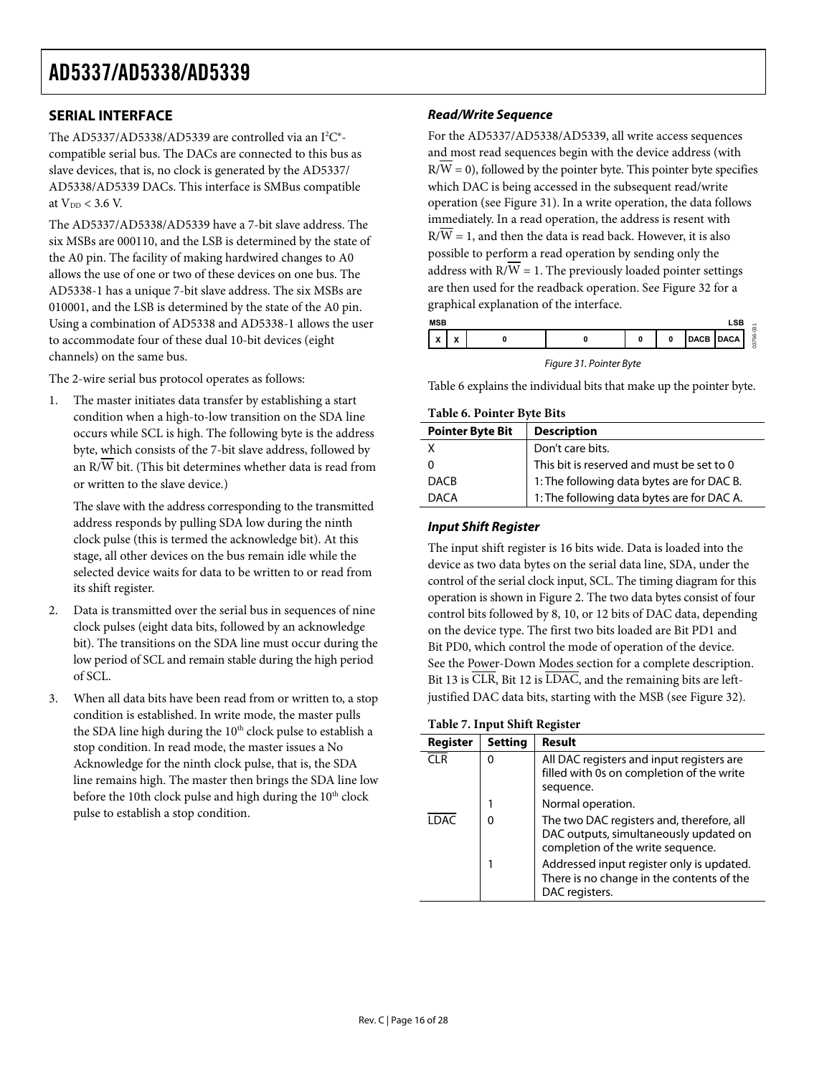### <span id="page-15-0"></span>**SERIAL INTERFACE**

The AD5337/AD5338/AD5339 are controlled via an  $I^2C^*$ compatible serial bus. The DACs are connected to this bus as slave devices, that is, no clock is generated by the AD5337/ AD5338/AD5339 DACs. This interface is SMBus compatible at  $V_{DD}$  < 3.6 V.

The AD5337/AD5338/AD5339 have a 7-bit slave address. The six MSBs are 000110, and the LSB is determined by the state of the A0 pin. The facility of making hardwired changes to A0 allows the use of one or two of these devices on one bus. The AD5338-1 has a unique 7-bit slave address. The six MSBs are 010001, and the LSB is determined by the state of the A0 pin. Using a combination of AD5338 and AD5338-1 allows the user to accommodate four of these dual 10-bit devices (eight channels) on the same bus.

<span id="page-15-1"></span>The 2-wire serial bus protocol operates as follows:

<span id="page-15-2"></span>1. The master initiates data transfer by establishing a start condition when a high-to-low transition on the SDA line occurs while SCL is high. The following byte is the address byte, which consists of the 7-bit slave address, followed by an R/W bit. (This bit determines whether data is read from or written to the slave device.)

The slave with the address corresponding to the transmitted address responds by pulling SDA low during the ninth clock pulse (this is termed the acknowledge bit). At this stage, all other devices on the bus remain idle while the selected device waits for data to be written to or read from its shift register.

- 2. Data is transmitted over the serial bus in sequences of nine clock pulses (eight data bits, followed by an acknowledge bit). The transitions on the SDA line must occur during the low period of SCL and remain stable during the high period of SCL.
- 3. When all data bits have been read from or written to, a stop condition is established. In write mode, the master pulls the SDA line high during the  $10<sup>th</sup>$  clock pulse to establish a stop condition. In read mode, the master issues a No Acknowledge for the ninth clock pulse, that is, the SDA line remains high. The master then brings the SDA line low before the 10th clock pulse and high during the 10<sup>th</sup> clock pulse to establish a stop condition.

### **Read/Write Sequence**

For the AD5337/AD5338/AD5339, all write access sequences and most read sequences begin with the device address (with  $R/W = 0$ ), followed by the pointer byte. This pointer byte specifies which DAC is being accessed in the subsequent read/write operation (see [Figure 31\)](#page-15-1). In a write operation, the data follows immediately. In a read operation, the address is resent with  $R/W = 1$ , and then the data is read back. However, it is also possible to perform a read operation by sending only the address with  $R/\overline{W} = 1$ . The previously loaded pointer settings are then used for the readback operation. See [Figure 32](#page-16-1) for a graphical explanation of the interface.

| <b>LSB</b><br><b>MSB</b>                              |                               |  |  |  |  |                   |             |               |
|-------------------------------------------------------|-------------------------------|--|--|--|--|-------------------|-------------|---------------|
| $\overline{\phantom{a}}$<br>$\boldsymbol{\mathsf{A}}$ | $\overline{\phantom{a}}$<br>n |  |  |  |  | <b>CD</b><br>DAGB | <b>DACA</b> | ۰<br>ı<br>756 |

Figure 31. Pointer Byte

[Table 6](#page-15-2) explains the individual bits that make up the pointer byte.

#### **Table 6. Pointer Byte Bits**

| <b>Pointer Byte Bit</b> | <b>Description</b>                         |
|-------------------------|--------------------------------------------|
|                         | Don't care bits.                           |
|                         | This bit is reserved and must be set to 0  |
| <b>DACB</b>             | 1: The following data bytes are for DAC B. |
| <b>DACA</b>             | 1: The following data bytes are for DAC A. |

#### **Input Shift Register**

The input shift register is 16 bits wide. Data is loaded into the device as two data bytes on the serial data line, SDA, under the control of the serial clock input, SCL. The timing diagram for this operation is shown in [Figure 2.](#page-5-1) The two data bytes consist of four control bits followed by 8, 10, or 12 bits of DAC data, depending on the device type. The first two bits loaded are Bit PD1 and Bit PD0, which control the mode of operation of the device. See the [Power-Down Modes](#page-18-1) section for a complete description. Bit 13 is  $\overline{\text{CLR}}$ , Bit 12 is  $\overline{\text{LDAC}}$ , and the remaining bits are leftjustified DAC data bits, starting with the MSB (see [Figure 32](#page-16-1)).

### **Table 7. Input Shift Register**

| Register | <b>Setting</b> | Result                                                                                                                   |
|----------|----------------|--------------------------------------------------------------------------------------------------------------------------|
| $\cap$ R | 0              | All DAC registers and input registers are<br>filled with 0s on completion of the write<br>sequence.                      |
|          | 1              | Normal operation.                                                                                                        |
| I DAC    | 0              | The two DAC registers and, therefore, all<br>DAC outputs, simultaneously updated on<br>completion of the write sequence. |
|          | 1              | Addressed input register only is updated.<br>There is no change in the contents of the<br>DAC registers.                 |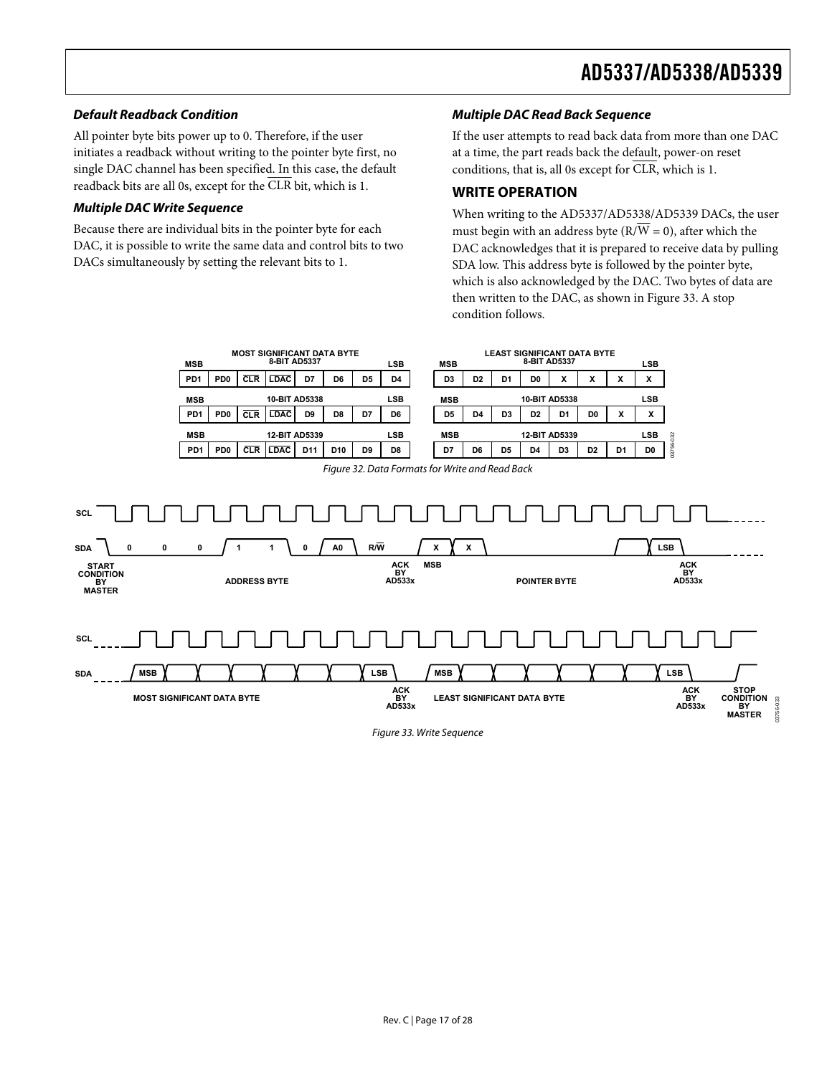### <span id="page-16-0"></span>**Default Readback Condition**

All pointer byte bits power up to 0. Therefore, if the user initiates a readback without writing to the pointer byte first, no single DAC channel has been specified. In this case, the default readback bits are all 0s, except for the CLR bit, which is 1.

### **Multiple DAC Write Sequence**

<span id="page-16-1"></span>**SCL**

**SDA**

Because there are individual bits in the pointer byte for each DAC, it is possible to write the same data and control bits to two DACs simultaneously by setting the relevant bits to 1.

### **Multiple DAC Read Back Sequence**

If the user attempts to read back data from more than one DAC at a time, the part reads back the default, power-on reset conditions, that is, all 0s except for CLR, which is 1.

### **WRITE OPERATION**

When writing to the AD5337/AD5338/AD5339 DACs, the user must begin with an address byte ( $\overline{RVW} = 0$ ), after which the DAC acknowledges that it is prepared to receive data by pulling SDA low. This address byte is followed by the pointer byte, which is also acknowledged by the DAC. Two bytes of data are then written to the DAC, as shown in [Figure 33.](#page-16-2) A stop condition follows.



<span id="page-16-2"></span>

Figure 33. Write Sequence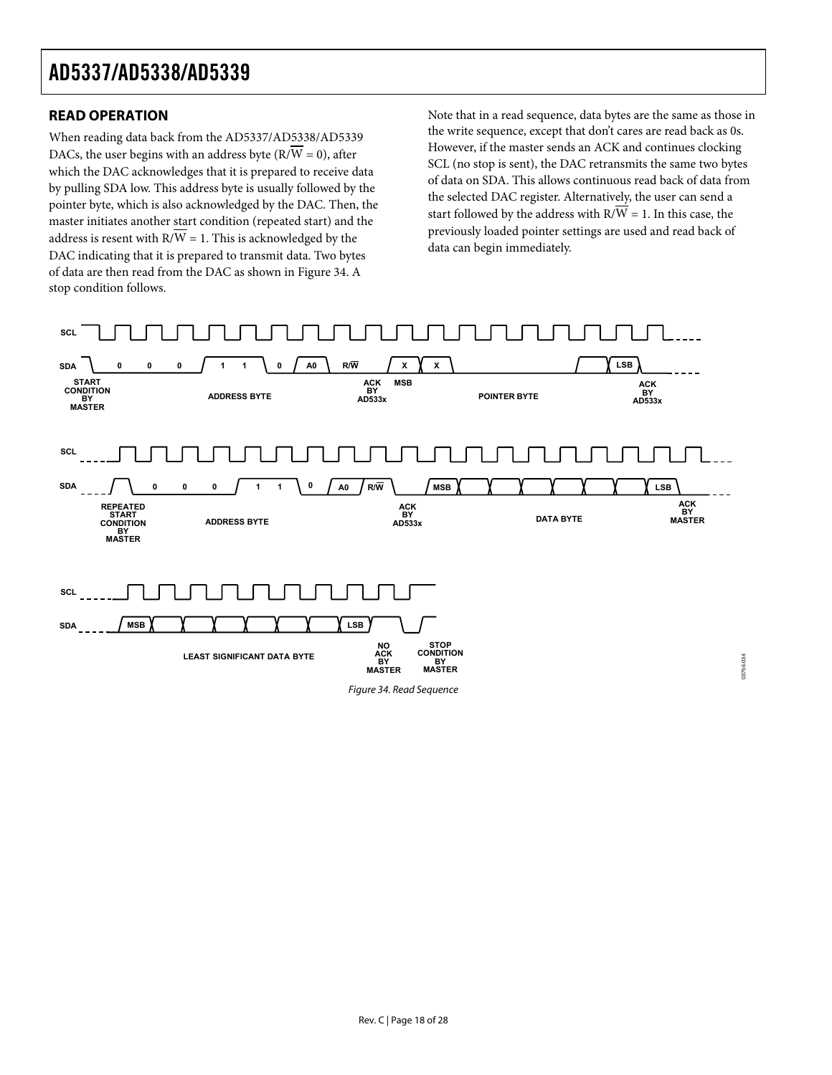### <span id="page-17-0"></span>**READ OPERATION**

When reading data back from the AD5337/AD5338/AD5339 DACs, the user begins with an address byte ( $\overline{RVW} = 0$ ), after which the DAC acknowledges that it is prepared to receive data by pulling SDA low. This address byte is usually followed by the pointer byte, which is also acknowledged by the DAC. Then, the master initiates another start condition (repeated start) and the address is resent with  $R/\overline{W} = 1$ . This is acknowledged by the DAC indicating that it is prepared to transmit data. Two bytes of data are then read from the DAC as shown in [Figure 34.](#page-17-1) A stop condition follows.

Note that in a read sequence, data bytes are the same as those in the write sequence, except that don't cares are read back as 0s. However, if the master sends an ACK and continues clocking SCL (no stop is sent), the DAC retransmits the same two bytes of data on SDA. This allows continuous read back of data from the selected DAC register. Alternatively, the user can send a start followed by the address with  $R/\overline{W} = 1$ . In this case, the previously loaded pointer settings are used and read back of data can begin immediately.

<span id="page-17-1"></span>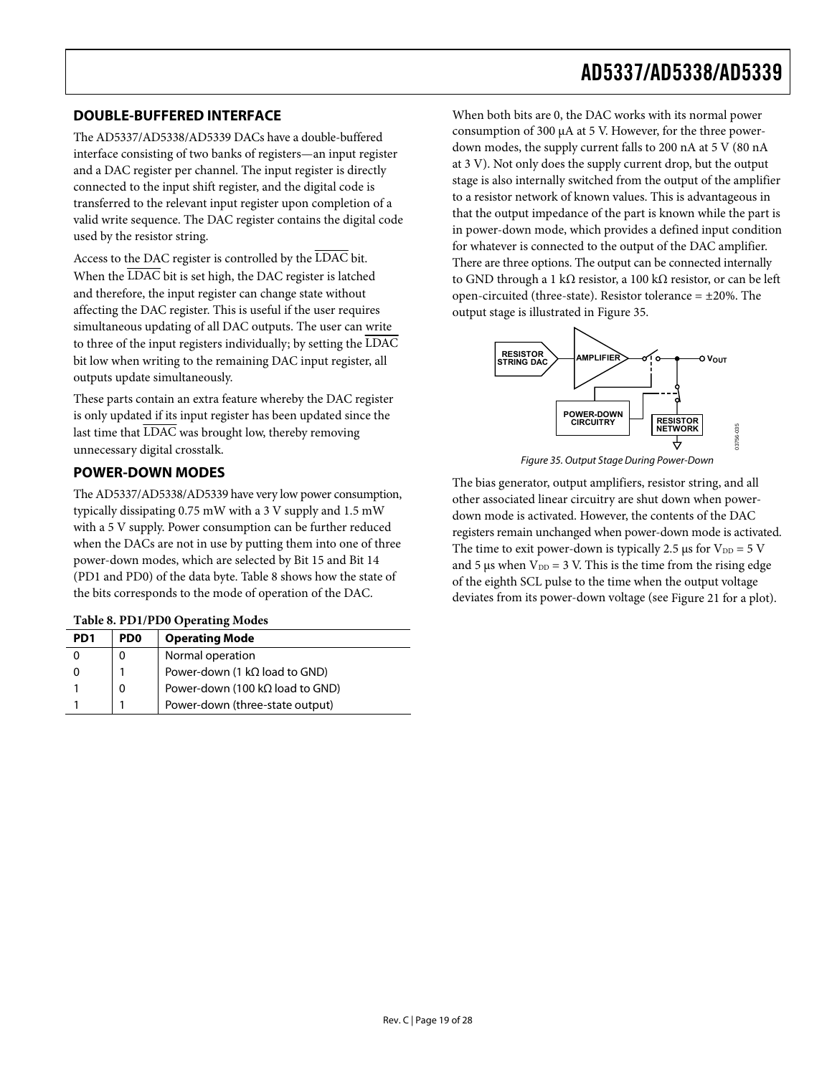### <span id="page-18-0"></span>**DOUBLE-BUFFERED INTERFACE**

The AD5337/AD5338/AD5339 DACs have a double-buffered interface consisting of two banks of registers—an input register and a DAC register per channel. The input register is directly connected to the input shift register, and the digital code is transferred to the relevant input register upon completion of a valid write sequence. The DAC register contains the digital code used by the resistor string.

Access to the DAC register is controlled by the LDAC bit. When the LDAC bit is set high, the DAC register is latched and therefore, the input register can change state without affecting the DAC register. This is useful if the user requires simultaneous updating of all DAC outputs. The user can write to three of the input registers individually; by setting the LDAC bit low when writing to the remaining DAC input register, all outputs update simultaneously.

These parts contain an extra feature whereby the DAC register is only updated if its input register has been updated since the last time that  $\overline{\text{LDAC}}$  was brought low, thereby removing unnecessary digital crosstalk.

### <span id="page-18-3"></span><span id="page-18-1"></span>**POWER-DOWN MODES**

The AD5337/AD5338/AD5339 have very low power consumption, typically dissipating 0.75 mW with a 3 V supply and 1.5 mW with a 5 V supply. Power consumption can be further reduced when the DACs are not in use by putting them into one of three power-down modes, which are selected by Bit 15 and Bit 14 (PD1 and PD0) of the data byte. [Table 8](#page-18-2) shows how the state of the bits corresponds to the mode of operation of the DAC.

<span id="page-18-2"></span>

| PD <sub>1</sub> | PD <sub>0</sub> | <b>Operating Mode</b>                   |
|-----------------|-----------------|-----------------------------------------|
|                 |                 | Normal operation                        |
|                 |                 | Power-down (1 $k\Omega$ load to GND)    |
|                 |                 | Power-down (100 k $\Omega$ load to GND) |
|                 |                 | Power-down (three-state output)         |

When both bits are 0, the DAC works with its normal power consumption of 300 μA at 5 V. However, for the three powerdown modes, the supply current falls to 200 nA at 5 V (80 nA at 3 V). Not only does the supply current drop, but the output stage is also internally switched from the output of the amplifier to a resistor network of known values. This is advantageous in that the output impedance of the part is known while the part is in power-down mode, which provides a defined input condition for whatever is connected to the output of the DAC amplifier. There are three options. The output can be connected internally to GND through a 1 kΩ resistor, a 100 kΩ resistor, or can be left open-circuited (three-state). Resistor tolerance  $= \pm 20\%$ . The output stage is illustrated in [Figure 35](#page-18-3).



Figure 35. Output Stage During Power-Down

The bias generator, output amplifiers, resistor string, and all other associated linear circuitry are shut down when powerdown mode is activated. However, the contents of the DAC registers remain unchanged when power-down mode is activated. The time to exit power-down is typically 2.5 μs for  $V_{DD} = 5 V$ and 5 μs when  $V_{DD} = 3$  V. This is the time from the rising edge of the eighth SCL pulse to the time when the output voltage deviates from its power-down voltage (see [Figure 21](#page-10-0) for a plot).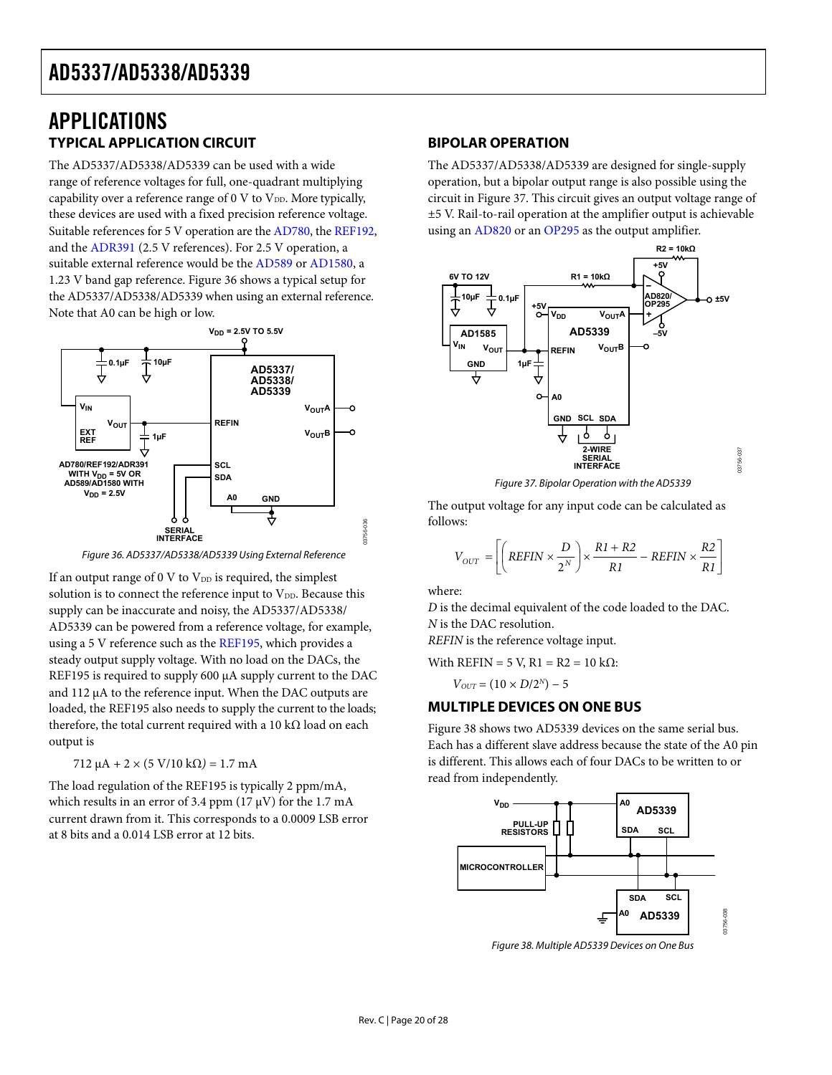### <span id="page-19-0"></span>APPLICATIONS **TYPICAL APPLICATION CIRCUIT**

The AD5337/AD5338/AD5339 can be used with a wide range of reference voltages for full, one-quadrant multiplying capability over a reference range of  $0 \nabla$  to  $V_{DD}$ . More typically, these devices are used with a fixed precision reference voltage. Suitable references for 5 V operation are the [AD780](http://www.analog.com/ad780), the [REF192](http://www.analog.com/ref192), and the [ADR391](http://www.analog.com/adr391) (2.5 V references). For 2.5 V operation, a suitable external reference would be the [AD589](http://www.analog.com/ad589) or [AD1580,](http://www.analog.com/ad1580) a 1.23 V band gap reference. [Figure 36](#page-19-1) shows a typical setup for the AD5337/AD5338/AD5339 when using an external reference. Note that A0 can be high or low.



Figure 36. AD5337/AD5338/AD5339 Using External Reference

<span id="page-19-2"></span><span id="page-19-1"></span>If an output range of  $0 \text{ V}$  to  $V_{\text{DD}}$  is required, the simplest solution is to connect the reference input to  $V_{DD}$ . Because this supply can be inaccurate and noisy, the AD5337/AD5338/ AD5339 can be powered from a reference voltage, for example, using a 5 V reference such as the [REF195](http://www.analog.com/ref195), which provides a steady output supply voltage. With no load on the DACs, the REF195 is required to supply 600 μA supply current to the DAC and 112 μA to the reference input. When the DAC outputs are loaded, the REF195 also needs to supply the current to the loads; therefore, the total current required with a 10 kΩ load on each output is

712 μA *+* 2 × (5 V/10 kΩ*) =* 1.7 mA

<span id="page-19-3"></span>The load regulation of the REF195 is typically 2 ppm/mA, which results in an error of 3.4 ppm  $(17 \mu V)$  for the 1.7 mA current drawn from it. This corresponds to a 0.0009 LSB error at 8 bits and a 0.014 LSB error at 12 bits.

### **BIPOLAR OPERATION**

The AD5337/AD5338/AD5339 are designed for single-supply operation, but a bipolar output range is also possible using the circuit in [Figure 37](#page-19-2). This circuit gives an output voltage range of ±5 V. Rail-to-rail operation at the amplifier output is achievable using an [AD820](http://www.analog.com/ad820) or an [OP295](http://www.analog.com/op295) as the output amplifier.



Figure 37. Bipolar Operation with the AD5339

The output voltage for any input code can be calculated as follows:

$$
V_{OUT} = \left[ \left( REFIN \times \frac{D}{2^N} \right) \times \frac{R1 + R2}{R1} - REFIN \times \frac{R2}{R1} \right]
$$

where:

*D* is the decimal equivalent of the code loaded to the DAC. *N* is the DAC resolution.

*REFIN* is the reference voltage input.

With REFIN = 5 V, R1 = R2 = 10 k $\Omega$ :

$$
V_{OUT}=(10\times D/2^N)-5
$$

### **MULTIPLE DEVICES ON ONE BUS**

[Figure 38](#page-19-3) shows two AD5339 devices on the same serial bus. Each has a different slave address because the state of the A0 pin is different. This allows each of four DACs to be written to or read from independently.



Figure 38. Multiple AD5339 Devices on One Bus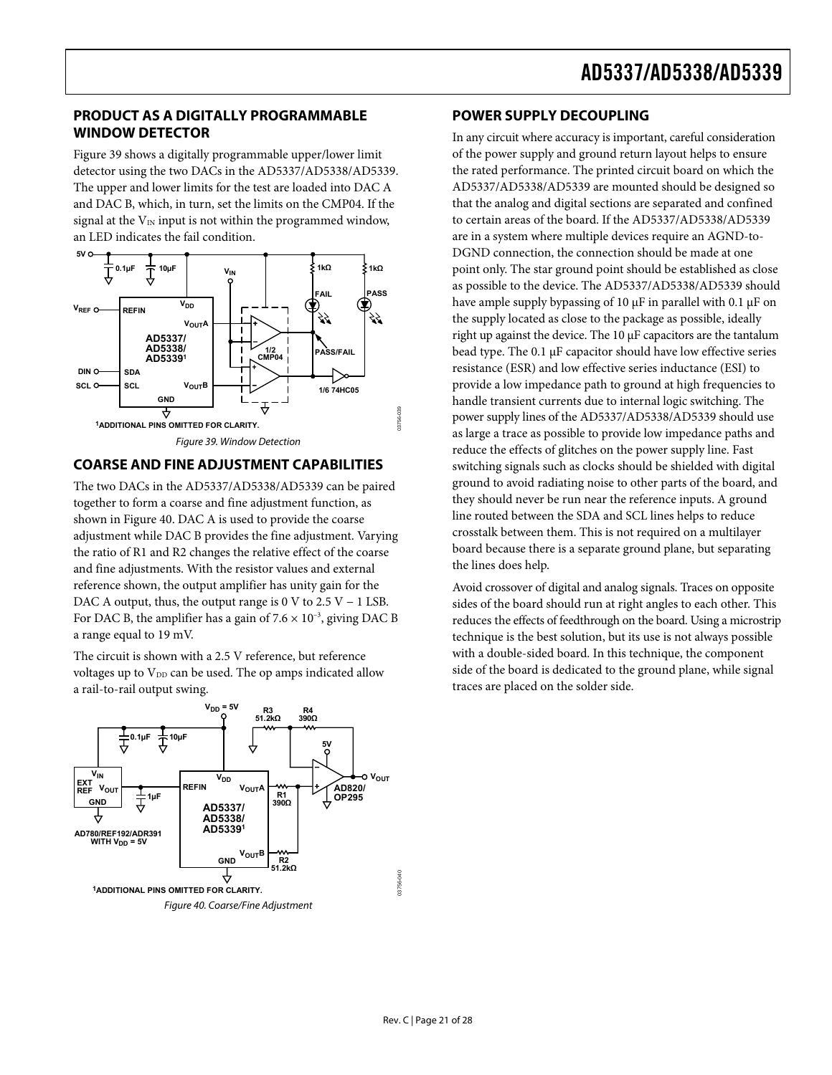### <span id="page-20-0"></span>**PRODUCT AS A DIGITALLY PROGRAMMABLE WINDOW DETECTOR**

[Figure 39](#page-20-1) shows a digitally programmable upper/lower limit detector using the two DACs in the AD5337/AD5338/AD5339. The upper and lower limits for the test are loaded into DAC A and DAC B, which, in turn, set the limits on the CMP04. If the signal at the  $V_{IN}$  input is not within the programmed window, an LED indicates the fail condition.



### <span id="page-20-1"></span>**COARSE AND FINE ADJUSTMENT CAPABILITIES**

The two DACs in the AD5337/AD5338/AD5339 can be paired together to form a coarse and fine adjustment function, as shown in [Figure 40](#page-20-2). DAC A is used to provide the coarse adjustment while DAC B provides the fine adjustment. Varying the ratio of R1 and R2 changes the relative effect of the coarse and fine adjustments. With the resistor values and external reference shown, the output amplifier has unity gain for the DAC A output, thus, the output range is 0 V to  $2.5 V - 1$  LSB. For DAC B, the amplifier has a gain of  $7.6 \times 10^{-3}$ , giving DAC B a range equal to 19 mV.

The circuit is shown with a 2.5 V reference, but reference voltages up to  $V_{DD}$  can be used. The op amps indicated allow a rail-to-rail output swing.



#### <span id="page-20-2"></span>Figure 40. Coarse/Fine Adjustment

### **POWER SUPPLY DECOUPLING**

In any circuit where accuracy is important, careful consideration of the power supply and ground return layout helps to ensure the rated performance. The printed circuit board on which the AD5337/AD5338/AD5339 are mounted should be designed so that the analog and digital sections are separated and confined to certain areas of the board. If the AD5337/AD5338/AD5339 are in a system where multiple devices require an AGND-to-DGND connection, the connection should be made at one point only. The star ground point should be established as close as possible to the device. The AD5337/AD5338/AD5339 should have ample supply bypassing of 10 μF in parallel with 0.1 μF on the supply located as close to the package as possible, ideally right up against the device. The 10 μF capacitors are the tantalum bead type. The 0.1 μF capacitor should have low effective series resistance (ESR) and low effective series inductance (ESI) to provide a low impedance path to ground at high frequencies to handle transient currents due to internal logic switching. The power supply lines of the AD5337/AD5338/AD5339 should use as large a trace as possible to provide low impedance paths and reduce the effects of glitches on the power supply line. Fast switching signals such as clocks should be shielded with digital ground to avoid radiating noise to other parts of the board, and they should never be run near the reference inputs. A ground line routed between the SDA and SCL lines helps to reduce crosstalk between them. This is not required on a multilayer board because there is a separate ground plane, but separating the lines does help.

Avoid crossover of digital and analog signals. Traces on opposite sides of the board should run at right angles to each other. This reduces the effects of feedthrough on the board. Using a microstrip technique is the best solution, but its use is not always possible with a double-sided board. In this technique, the component side of the board is dedicated to the ground plane, while signal traces are placed on the solder side.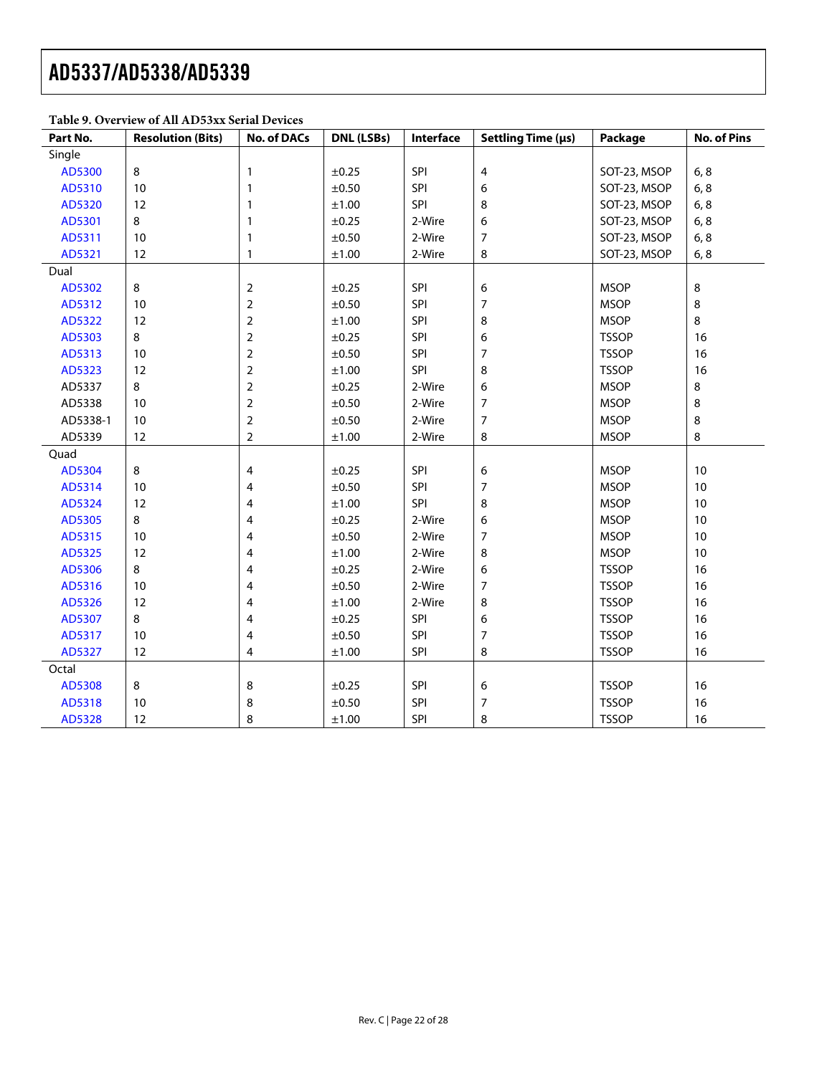### **Table 9. Overview of All AD53xx Serial Devices**

| Part No. | <b>Resolution (Bits)</b> | <b>No. of DACs</b> | DNL (LSBs) | Interface | Settling Time (µs) | Package      | <b>No. of Pins</b> |
|----------|--------------------------|--------------------|------------|-----------|--------------------|--------------|--------------------|
| Single   |                          |                    |            |           |                    |              |                    |
| AD5300   | 8                        | 1                  | $\pm 0.25$ | SPI       | $\pmb{4}$          | SOT-23, MSOP | 6, 8               |
| AD5310   | $10$                     | 1                  | $\pm 0.50$ | SPI       | 6                  | SOT-23, MSOP | 6, 8               |
| AD5320   | 12                       | 1                  | $\pm 1.00$ | SPI       | 8                  | SOT-23, MSOP | 6, 8               |
| AD5301   | 8                        | 1                  | ±0.25      | 2-Wire    | 6                  | SOT-23, MSOP | 6, 8               |
| AD5311   | 10                       | 1                  | ±0.50      | 2-Wire    | $\overline{7}$     | SOT-23, MSOP | 6, 8               |
| AD5321   | 12                       | 1                  | $\pm 1.00$ | 2-Wire    | 8                  | SOT-23, MSOP | 6, 8               |
| Dual     |                          |                    |            |           |                    |              |                    |
| AD5302   | 8                        | 2                  | $\pm 0.25$ | SPI       | 6                  | <b>MSOP</b>  | 8                  |
| AD5312   | 10                       | 2                  | $\pm 0.50$ | SPI       | $\boldsymbol{7}$   | <b>MSOP</b>  | 8                  |
| AD5322   | 12                       | 2                  | $\pm 1.00$ | SPI       | 8                  | <b>MSOP</b>  | 8                  |
| AD5303   | 8                        | $\overline{2}$     | ±0.25      | SPI       | 6                  | <b>TSSOP</b> | 16                 |
| AD5313   | 10                       | $\overline{2}$     | ±0.50      | SPI       | $\boldsymbol{7}$   | <b>TSSOP</b> | 16                 |
| AD5323   | 12                       | $\overline{2}$     | $\pm 1.00$ | SPI       | 8                  | <b>TSSOP</b> | 16                 |
| AD5337   | 8                        | $\overline{2}$     | $\pm 0.25$ | 2-Wire    | 6                  | <b>MSOP</b>  | 8                  |
| AD5338   | $10$                     | $\overline{2}$     | $\pm 0.50$ | 2-Wire    | $\boldsymbol{7}$   | <b>MSOP</b>  | 8                  |
| AD5338-1 | $10$                     | $\overline{2}$     | $\pm 0.50$ | 2-Wire    | $\boldsymbol{7}$   | <b>MSOP</b>  | 8                  |
| AD5339   | 12                       | $\overline{2}$     | ±1.00      | 2-Wire    | 8                  | <b>MSOP</b>  | 8                  |
| Quad     |                          |                    |            |           |                    |              |                    |
| AD5304   | 8                        | 4                  | $\pm 0.25$ | SPI       | 6                  | <b>MSOP</b>  | 10                 |
| AD5314   | 10                       | 4                  | ±0.50      | SPI       | $\boldsymbol{7}$   | <b>MSOP</b>  | 10                 |
| AD5324   | 12                       | 4                  | $\pm 1.00$ | SPI       | 8                  | <b>MSOP</b>  | 10                 |
| AD5305   | 8                        | 4                  | ±0.25      | 2-Wire    | 6                  | <b>MSOP</b>  | 10                 |
| AD5315   | 10                       | 4                  | ±0.50      | 2-Wire    | $\overline{7}$     | <b>MSOP</b>  | 10                 |
| AD5325   | 12                       | 4                  | $\pm 1.00$ | 2-Wire    | 8                  | <b>MSOP</b>  | 10                 |
| AD5306   | 8                        | 4                  | ±0.25      | 2-Wire    | 6                  | <b>TSSOP</b> | 16                 |
| AD5316   | $10$                     | 4                  | $\pm 0.50$ | 2-Wire    | $\boldsymbol{7}$   | <b>TSSOP</b> | 16                 |
| AD5326   | 12                       | 4                  | $\pm 1.00$ | 2-Wire    | 8                  | <b>TSSOP</b> | 16                 |
| AD5307   | 8                        | 4                  | ±0.25      | SPI       | 6                  | <b>TSSOP</b> | 16                 |
| AD5317   | 10                       | 4                  | $\pm 0.50$ | SPI       | $\overline{7}$     | <b>TSSOP</b> | 16                 |
| AD5327   | 12                       | 4                  | $\pm 1.00$ | SPI       | 8                  | <b>TSSOP</b> | 16                 |
| Octal    |                          |                    |            |           |                    |              |                    |
| AD5308   | 8                        | 8                  | $\pm 0.25$ | SPI       | 6                  | <b>TSSOP</b> | 16                 |
| AD5318   | 10                       | 8                  | $\pm 0.50$ | SPI       | 7                  | <b>TSSOP</b> | 16                 |
| AD5328   | 12                       | 8                  | ±1.00      | SPI       | 8                  | <b>TSSOP</b> | 16                 |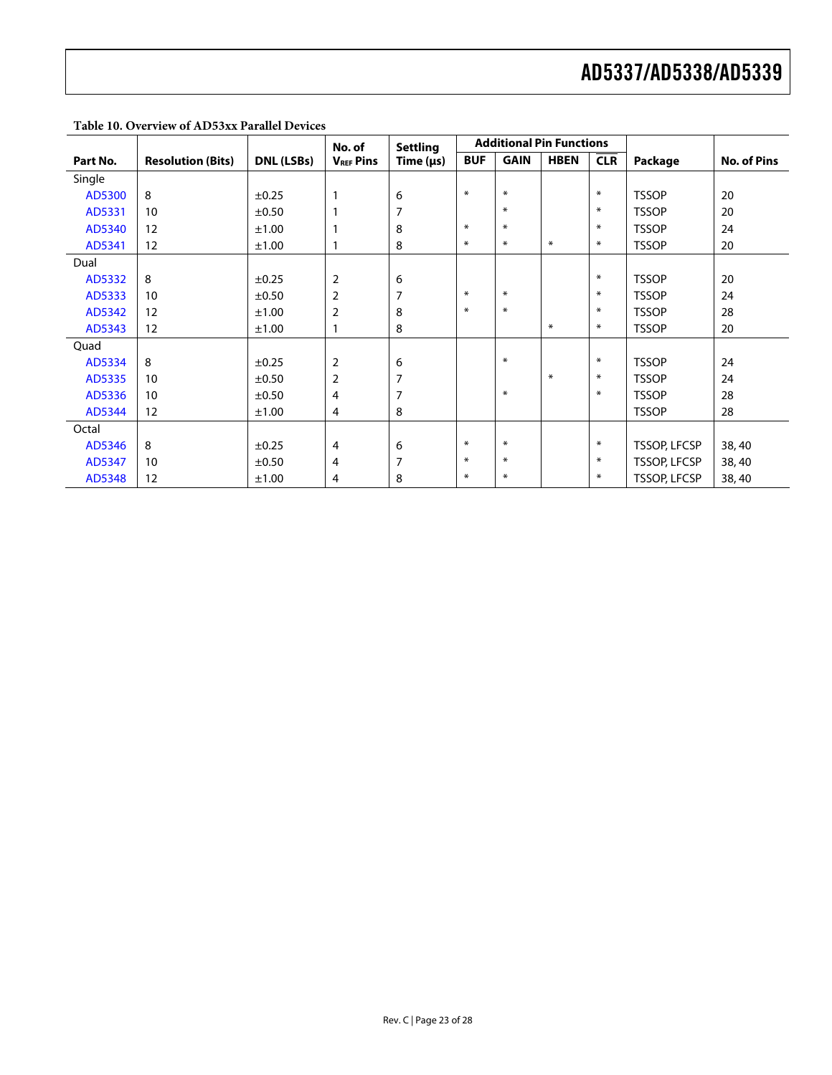|          |                          |            | No. of           | <b>Settling</b> | <b>Additional Pin Functions</b> |             |             |            |                     |                    |
|----------|--------------------------|------------|------------------|-----------------|---------------------------------|-------------|-------------|------------|---------------------|--------------------|
| Part No. | <b>Resolution (Bits)</b> | DNL (LSBs) | <b>VREF Pins</b> | Time $(\mu s)$  | <b>BUF</b>                      | <b>GAIN</b> | <b>HBEN</b> | <b>CLR</b> | Package             | <b>No. of Pins</b> |
| Single   |                          |            |                  |                 |                                 |             |             |            |                     |                    |
| AD5300   | 8                        | $\pm 0.25$ | $\mathbf{1}$     | 6               | $\ast$                          | $\ast$      |             | $\ast$     | <b>TSSOP</b>        | 20                 |
| AD5331   | 10                       | $\pm 0.50$ | $\mathbf{1}$     | 7               |                                 | ∗           |             | $\ast$     | <b>TSSOP</b>        | 20                 |
| AD5340   | 12                       | ±1.00      |                  | 8               | $\ast$                          | $\ast$      |             | $\ast$     | <b>TSSOP</b>        | 24                 |
| AD5341   | 12                       | ±1.00      | 1                | 8               | $\ast$                          | $\ast$      | $\ast$      | $\ast$     | <b>TSSOP</b>        | 20                 |
| Dual     |                          |            |                  |                 |                                 |             |             |            |                     |                    |
| AD5332   | 8                        | $\pm 0.25$ | $\overline{2}$   | 6               |                                 |             |             | $\ast$     | <b>TSSOP</b>        | 20                 |
| AD5333   | 10                       | $\pm 0.50$ | $\overline{2}$   | 7               | $\ast$                          | $\ast$      |             | $\ast$     | <b>TSSOP</b>        | 24                 |
| AD5342   | 12                       | ±1.00      | $\overline{2}$   | 8               | ∗                               | $\ast$      |             | $\ast$     | <b>TSSOP</b>        | 28                 |
| AD5343   | 12                       | ±1.00      | 1                | 8               |                                 |             | $\ast$      | $\ast$     | <b>TSSOP</b>        | 20                 |
| Quad     |                          |            |                  |                 |                                 |             |             |            |                     |                    |
| AD5334   | 8                        | $\pm 0.25$ | $\overline{2}$   | 6               |                                 | $\ast$      |             | $\ast$     | <b>TSSOP</b>        | 24                 |
| AD5335   | 10                       | ±0.50      | $\overline{2}$   | 7               |                                 |             | $\ast$      | $\ast$     | <b>TSSOP</b>        | 24                 |
| AD5336   | 10                       | $\pm 0.50$ | 4                | 7               |                                 | $\ast$      |             | $\ast$     | <b>TSSOP</b>        | 28                 |
| AD5344   | 12                       | ±1.00      | 4                | 8               |                                 |             |             |            | <b>TSSOP</b>        | 28                 |
| Octal    |                          |            |                  |                 |                                 |             |             |            |                     |                    |
| AD5346   | 8                        | $\pm 0.25$ | $\overline{4}$   | 6               | $\ast$                          | $*$         |             | $\ast$     | <b>TSSOP, LFCSP</b> | 38,40              |
| AD5347   | 10                       | $\pm 0.50$ | 4                | 7               | $\ast$                          | $\ast$      |             | $\ast$     | <b>TSSOP, LFCSP</b> | 38,40              |
| AD5348   | 12                       | ±1.00      | 4                | 8               | $\ast$                          | $\ast$      |             | $\ast$     | <b>TSSOP, LFCSP</b> | 38,40              |

**Table 10. Overview of AD53xx Parallel Devices**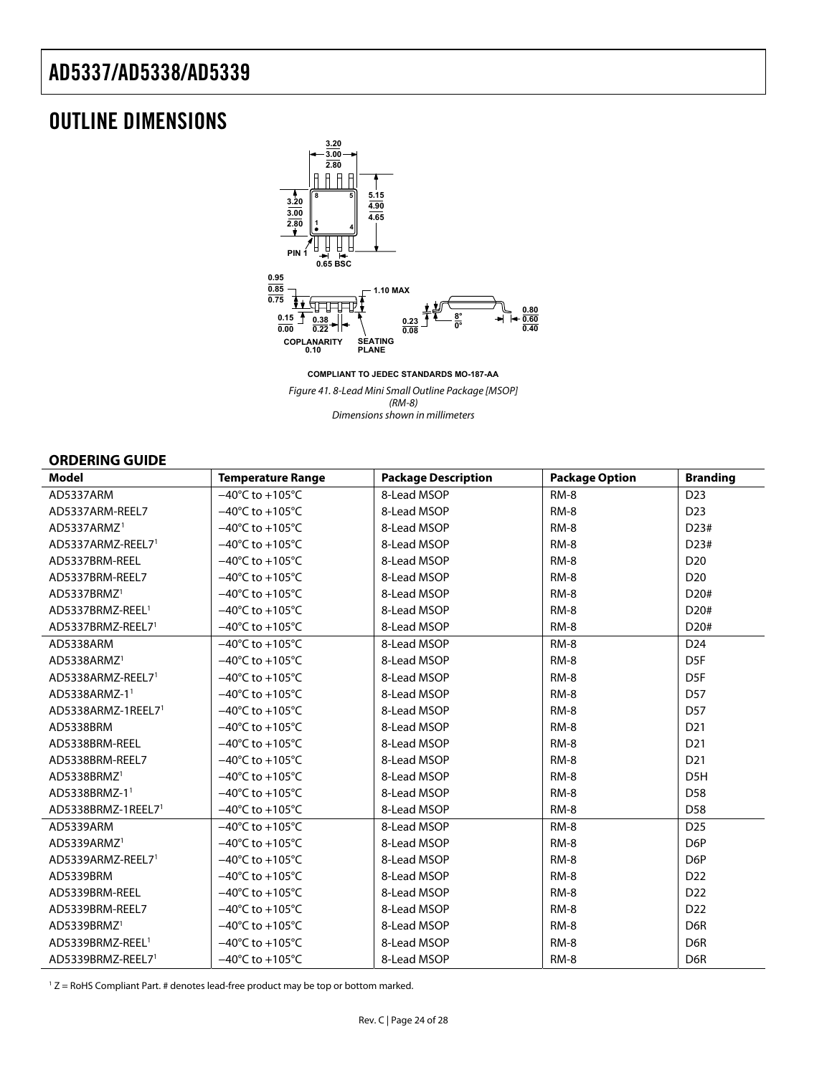## <span id="page-23-0"></span>OUTLINE DIMENSIONS



**COMPLIANT TO JEDEC STANDARDS MO-187-AA** Figure 41. 8-Lead Mini Small Outline Package [MSOP] (RM-8) Dimensions shown in millimeters

### **ORDERING GUIDE**

| <b>Model</b>                 | <b>Temperature Range</b>             | <b>Package Description</b> | <b>Package Option</b> | <b>Branding</b>   |
|------------------------------|--------------------------------------|----------------------------|-----------------------|-------------------|
| AD5337ARM                    | $-40^{\circ}$ C to $+105^{\circ}$ C  | 8-Lead MSOP                | RM-8                  | D <sub>23</sub>   |
| AD5337ARM-REEL7              | $-40^{\circ}$ C to $+105^{\circ}$ C  | 8-Lead MSOP                | RM-8                  | D <sub>23</sub>   |
| AD5337ARMZ <sup>1</sup>      | $-40^{\circ}$ C to $+105^{\circ}$ C  | 8-Lead MSOP                | RM-8                  | D23#              |
| AD5337ARMZ-REEL71            | $-40^{\circ}$ C to +105 $^{\circ}$ C | 8-Lead MSOP                | RM-8                  | D23#              |
| AD5337BRM-REEL               | $-40^{\circ}$ C to $+105^{\circ}$ C  | 8-Lead MSOP                | $RM-8$                | D <sub>20</sub>   |
| AD5337BRM-REEL7              | $-40^{\circ}$ C to +105 $^{\circ}$ C | 8-Lead MSOP                | RM-8                  | D <sub>20</sub>   |
| AD5337BRMZ <sup>1</sup>      | $-40^{\circ}$ C to $+105^{\circ}$ C  | 8-Lead MSOP                | RM-8                  | D <sub>20</sub> # |
| AD5337BRMZ-REEL <sup>1</sup> | $-40^{\circ}$ C to +105 $^{\circ}$ C | 8-Lead MSOP                | RM-8                  | D <sub>20</sub> # |
| AD5337BRMZ-REEL71            | $-40^{\circ}$ C to $+105^{\circ}$ C  | 8-Lead MSOP                | $RM-8$                | D20#              |
| AD5338ARM                    | $-40^{\circ}$ C to $+105^{\circ}$ C  | 8-Lead MSOP                | RM-8                  | D <sub>24</sub>   |
| AD5338ARMZ <sup>1</sup>      | $-40^{\circ}$ C to +105 $^{\circ}$ C | 8-Lead MSOP                | $RM-8$                | D <sub>5F</sub>   |
| AD5338ARMZ-REEL71            | $-40^{\circ}$ C to $+105^{\circ}$ C  | 8-Lead MSOP                | RM-8                  | D <sub>5F</sub>   |
| AD5338ARMZ-1 <sup>1</sup>    | $-40^{\circ}$ C to $+105^{\circ}$ C  | 8-Lead MSOP                | RM-8                  | D <sub>57</sub>   |
| AD5338ARMZ-1REEL71           | $-40^{\circ}$ C to $+105^{\circ}$ C  | 8-Lead MSOP                | RM-8                  | D <sub>57</sub>   |
| AD5338BRM                    | $-40^{\circ}$ C to +105 $^{\circ}$ C | 8-Lead MSOP                | RM-8                  | D <sub>21</sub>   |
| AD5338BRM-REEL               | $-40^{\circ}$ C to +105 $^{\circ}$ C | 8-Lead MSOP                | RM-8                  | D <sub>21</sub>   |
| AD5338BRM-REEL7              | $-40^{\circ}$ C to $+105^{\circ}$ C  | 8-Lead MSOP                | RM-8                  | D <sub>21</sub>   |
| AD5338BRMZ <sup>1</sup>      | $-40^{\circ}$ C to $+105^{\circ}$ C  | 8-Lead MSOP                | RM-8                  | D <sub>5</sub> H  |
| AD5338BRMZ-11                | $-40^{\circ}$ C to $+105^{\circ}$ C  | 8-Lead MSOP                | <b>RM-8</b>           | D <sub>58</sub>   |
| AD5338BRMZ-1REEL71           | $-40^{\circ}$ C to $+105^{\circ}$ C  | 8-Lead MSOP                | RM-8                  | D <sub>58</sub>   |
| AD5339ARM                    | $-40^{\circ}$ C to $+105^{\circ}$ C  | 8-Lead MSOP                | RM-8                  | D <sub>25</sub>   |
| AD5339ARMZ <sup>1</sup>      | $-40^{\circ}$ C to $+105^{\circ}$ C  | 8-Lead MSOP                | RM-8                  | D <sub>6</sub> P  |
| AD5339ARMZ-REEL71            | $-40^{\circ}$ C to $+105^{\circ}$ C  | 8-Lead MSOP                | RM-8                  | D <sub>6</sub> P  |
| AD5339BRM                    | $-40^{\circ}$ C to $+105^{\circ}$ C  | 8-Lead MSOP                | RM-8                  | D <sub>22</sub>   |
| AD5339BRM-REEL               | $-40^{\circ}$ C to $+105^{\circ}$ C  | 8-Lead MSOP                | RM-8                  | D <sub>22</sub>   |
| AD5339BRM-REEL7              | $-40^{\circ}$ C to $+105^{\circ}$ C  | 8-Lead MSOP                | RM-8                  | D <sub>22</sub>   |
| AD5339BRMZ <sup>1</sup>      | $-40^{\circ}$ C to $+105^{\circ}$ C  | 8-Lead MSOP                | $RM-8$                | D <sub>6</sub> R  |
| AD5339BRMZ-REEL <sup>1</sup> | $-40^{\circ}$ C to $+105^{\circ}$ C  | 8-Lead MSOP                | RM-8                  | D6R               |
| AD5339BRMZ-REEL71            | $-40^{\circ}$ C to $+105^{\circ}$ C  | 8-Lead MSOP                | RM-8                  | D <sub>6</sub> R  |

 $1 Z =$  RoHS Compliant Part. # denotes lead-free product may be top or bottom marked.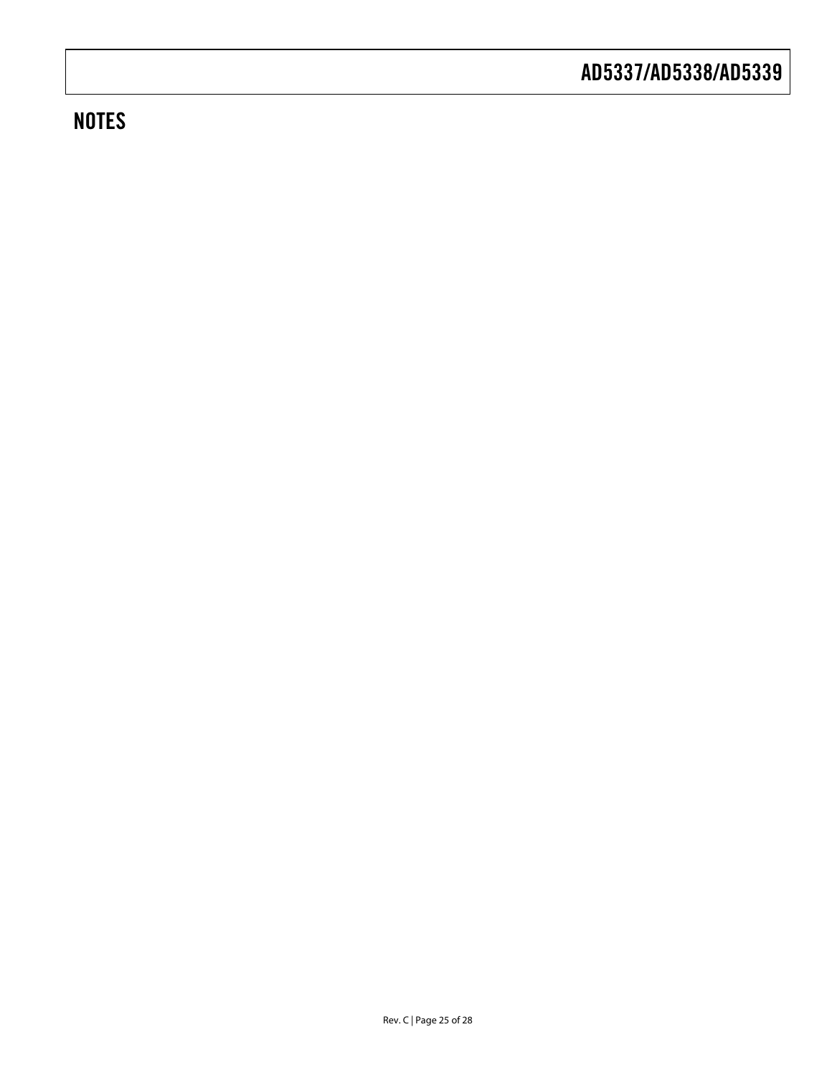# **NOTES**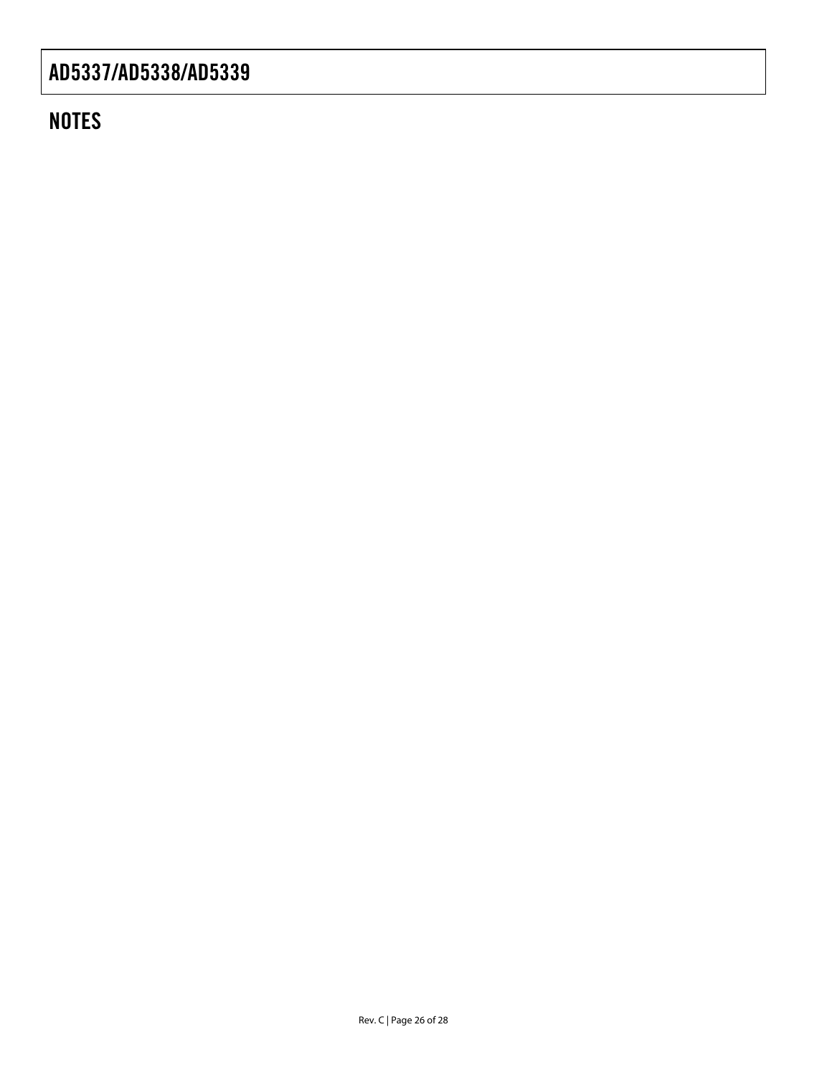# **NOTES**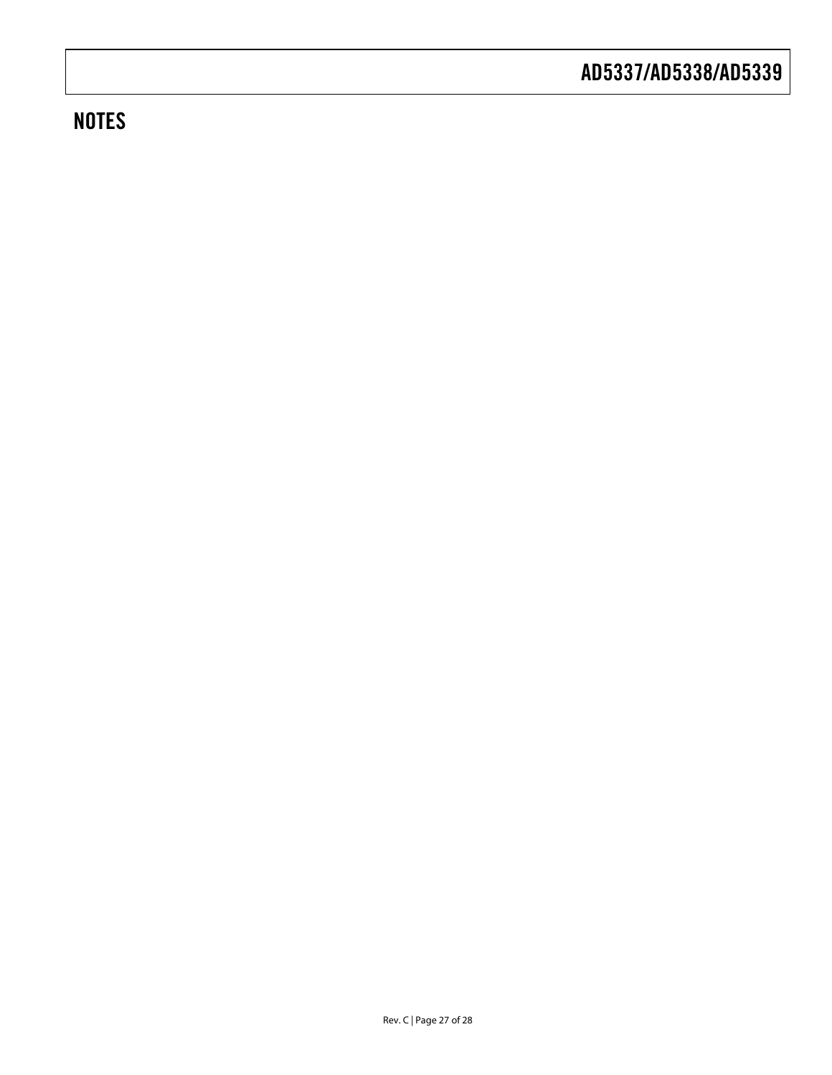# **NOTES**